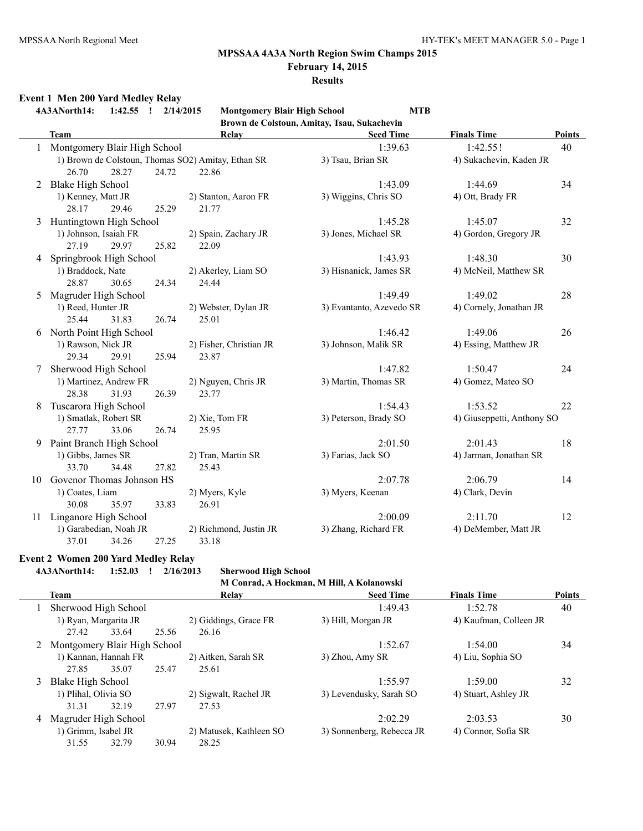# **MPSSAA 4A3A North Region Swim Champs 2015**

**February 14, 2015**

#### **Results**

# **Event 1 Men 200 Yard Medley Relay**

**4A3ANorth14: 1:42.55 ! 2/14/2015 Montgomery Blair High School MTB Brown de Colstoun, Amitay, Tsau, Sukachevin**

|    | <b>Team</b>                                        | Relay                   | <b>Seed Time</b>         | <b>Finals Time</b>         | <b>Points</b> |
|----|----------------------------------------------------|-------------------------|--------------------------|----------------------------|---------------|
|    | Montgomery Blair High School                       |                         | 1:39.63                  | 1:42.55!                   | 40            |
|    | 1) Brown de Colstoun, Thomas SO2) Amitay, Ethan SR |                         | 3) Tsau, Brian SR        | 4) Sukachevin, Kaden JR    |               |
|    | 26.70<br>28.27                                     | 24.72<br>22.86          |                          |                            |               |
| 2  | <b>Blake High School</b>                           |                         | 1:43.09                  | 1:44.69                    | 34            |
|    | 1) Kenney, Matt JR                                 | 2) Stanton, Aaron FR    | 3) Wiggins, Chris SO     | 4) Ott, Brady FR           |               |
|    | 28.17<br>29.46                                     | 25.29<br>21.77          |                          |                            |               |
| 3  | Huntingtown High School                            |                         | 1:45.28                  | 1:45.07                    | 32            |
|    | 1) Johnson, Isaiah FR                              | 2) Spain, Zachary JR    | 3) Jones, Michael SR     | 4) Gordon, Gregory JR      |               |
|    | 29.97<br>27.19                                     | 22.09<br>25.82          |                          |                            |               |
| 4  | Springbrook High School                            |                         | 1:43.93                  | 1:48.30                    | 30            |
|    | 1) Braddock, Nate                                  | 2) Akerley, Liam SO     | 3) Hisnanick, James SR   | 4) McNeil, Matthew SR      |               |
|    | 28.87<br>30.65                                     | 24.34<br>24.44          |                          |                            |               |
| 5  | Magruder High School                               |                         | 1:49.49                  | 1:49.02                    | 28            |
|    | 1) Reed, Hunter JR                                 | 2) Webster, Dylan JR    | 3) Evantanto, Azevedo SR | 4) Cornely, Jonathan JR    |               |
|    | 25.44<br>31.83                                     | 26.74<br>25.01          |                          |                            |               |
| 6  | North Point High School                            |                         | 1:46.42                  | 1:49.06                    | 26            |
|    | 1) Rawson, Nick JR                                 | 2) Fisher, Christian JR | 3) Johnson, Malik SR     | 4) Essing, Matthew JR      |               |
|    | 29.34<br>29.91                                     | 25.94<br>23.87          |                          |                            |               |
|    | Sherwood High School                               |                         | 1:47.82                  | 1:50.47                    | 24            |
|    | 1) Martinez, Andrew FR                             | 2) Nguyen, Chris JR     | 3) Martin, Thomas SR     | 4) Gomez, Mateo SO         |               |
|    | 28.38<br>31.93                                     | 26.39<br>23.77          |                          |                            |               |
| 8  | Tuscarora High School                              |                         | 1:54.43                  | 1:53.52                    | 22            |
|    | 1) Smatlak, Robert SR                              | 2) Xie, Tom FR          | 3) Peterson, Brady SO    | 4) Giuseppetti, Anthony SO |               |
|    | 33.06<br>27.77                                     | 25.95<br>26.74          |                          |                            |               |
| 9  | Paint Branch High School                           |                         | 2:01.50                  | 2:01.43                    | 18            |
|    | 1) Gibbs, James SR                                 | 2) Tran, Martin SR      | 3) Farias, Jack SO       | 4) Jarman, Jonathan SR     |               |
|    | 34.48<br>33.70                                     | 27.82<br>25.43          |                          |                            |               |
| 10 | Govenor Thomas Johnson HS                          |                         | 2:07.78                  | 2:06.79                    | 14            |
|    | 1) Coates, Liam                                    | 2) Myers, Kyle          | 3) Myers, Keenan         | 4) Clark, Devin            |               |
|    | 30.08<br>35.97                                     | 33.83<br>26.91          |                          |                            |               |
| 11 | Linganore High School                              |                         | 2:00.09                  | 2:11.70                    | 12            |
|    | 1) Garabedian, Noah JR                             | 2) Richmond, Justin JR  | 3) Zhang, Richard FR     | 4) DeMember, Matt JR       |               |
|    | 37.01<br>34.26                                     | 33.18<br>27.25          |                          |                            |               |

#### **Event 2 Women 200 Yard Medley Relay**

#### **4A3ANorth14: 1:52.03 ! 2/16/2013 Sherwood High School**

|   | M Conrad, A Hockman, M Hill, A Kolanowski |       |                         |                           |                        |               |  |  |  |  |
|---|-------------------------------------------|-------|-------------------------|---------------------------|------------------------|---------------|--|--|--|--|
|   | <b>Team</b>                               |       | Relay                   | <b>Seed Time</b>          | <b>Finals Time</b>     | <b>Points</b> |  |  |  |  |
|   | Sherwood High School                      |       |                         | 1:49.43                   | 1:52.78                | 40            |  |  |  |  |
|   | 1) Ryan, Margarita JR                     |       | 2) Giddings, Grace FR   | 3) Hill, Morgan JR        | 4) Kaufman, Colleen JR |               |  |  |  |  |
|   | 33.64<br>27.42                            | 25.56 | 26.16                   |                           |                        |               |  |  |  |  |
|   | Montgomery Blair High School              |       |                         | 1:52.67                   | 1:54.00                | 34            |  |  |  |  |
|   | 1) Kannan, Hannah FR                      |       | 2) Aitken, Sarah SR     | 3) Zhou, Amy SR           | 4) Liu, Sophia SO      |               |  |  |  |  |
|   | 35.07<br>27.85                            | 25.47 | 25.61                   |                           |                        |               |  |  |  |  |
| 3 | Blake High School                         |       |                         | 1:55.97                   | 1:59.00                | 32            |  |  |  |  |
|   | 1) Plihal, Olivia SO                      |       | 2) Sigwalt, Rachel JR   | 3) Levendusky, Sarah SO   | 4) Stuart, Ashley JR   |               |  |  |  |  |
|   | 32.19<br>31.31                            | 27.97 | 27.53                   |                           |                        |               |  |  |  |  |
| 4 | Magruder High School                      |       |                         | 2:02.29                   | 2:03.53                | 30            |  |  |  |  |
|   | 1) Grimm, Isabel JR                       |       | 2) Matusek, Kathleen SO | 3) Sonnenberg, Rebecca JR | 4) Connor, Sofia SR    |               |  |  |  |  |
|   | 31.55<br>32.79                            | 30.94 | 28.25                   |                           |                        |               |  |  |  |  |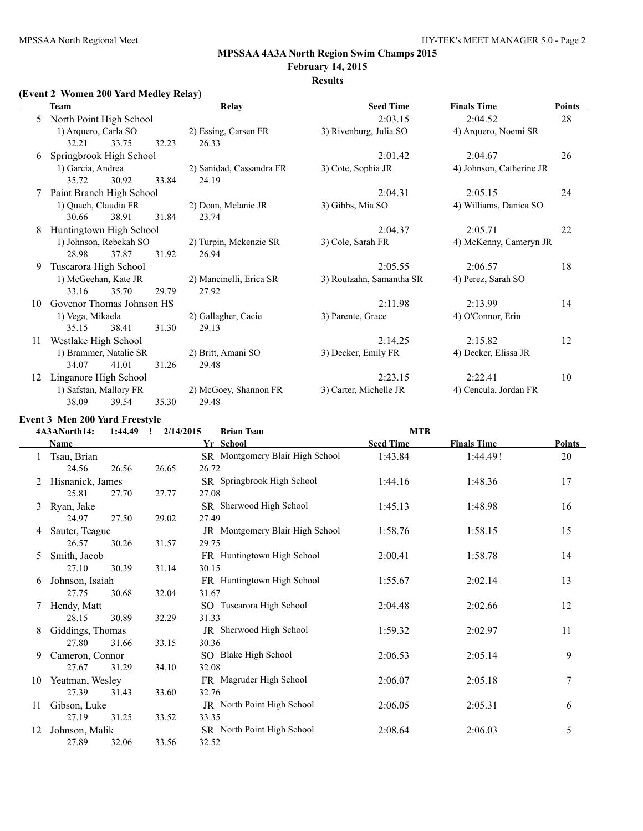# **MPSSAA 4A3A North Region Swim Champs 2015**

# **February 14, 2015**

# **Results**

# **(Event 2 Women 200 Yard Medley Relay)**

|    | Team                                              |       |       | <b>Relay</b>             | <b>Seed Time</b>         | <b>Finals Time</b>       | <b>Points</b> |
|----|---------------------------------------------------|-------|-------|--------------------------|--------------------------|--------------------------|---------------|
| 5  | North Point High School                           |       |       |                          | 2:03.15                  | 2:04.52                  | 28            |
|    | 1) Arquero, Carla SO                              |       |       | 2) Essing, Carsen FR     | 3) Rivenburg, Julia SO   | 4) Arquero, Noemi SR     |               |
|    | 32.21                                             | 33.75 | 32.23 | 26.33                    |                          |                          |               |
| 6  | Springbrook High School                           |       |       |                          | 2:01.42                  | 2:04.67                  | 26            |
|    | 1) Garcia, Andrea                                 |       |       | 2) Sanidad, Cassandra FR | 3) Cote, Sophia JR       | 4) Johnson, Catherine JR |               |
|    | 35.72                                             | 30.92 | 33.84 | 24.19                    |                          |                          |               |
| 7  | Paint Branch High School                          |       |       |                          | 2:04.31                  | 2:05.15                  | 24            |
|    | 1) Quach, Claudia FR                              |       |       | 2) Doan, Melanie JR      | 3) Gibbs, Mia SO         | 4) Williams, Danica SO   |               |
|    | 30.66                                             | 38.91 | 31.84 | 23.74                    |                          |                          |               |
| 8  | Huntingtown High School<br>1) Johnson, Rebekah SO |       |       |                          | 2:04.37                  | 2:05.71                  | 22            |
|    |                                                   |       |       | 2) Turpin, Mckenzie SR   | 3) Cole, Sarah FR        | 4) McKenny, Cameryn JR   |               |
|    | 28.98                                             | 37.87 | 31.92 | 26.94                    |                          |                          |               |
| 9  | Tuscarora High School                             |       |       |                          | 2:05.55                  | 2:06.57                  | 18            |
|    | 1) McGeehan, Kate JR                              |       |       | 2) Mancinelli, Erica SR  | 3) Routzahn, Samantha SR | 4) Perez, Sarah SO       |               |
|    | 33.16                                             | 35.70 | 29.79 | 27.92                    |                          |                          |               |
| 10 | Govenor Thomas Johnson HS                         |       |       |                          | 2:11.98                  | 2:13.99                  | 14            |
|    | 1) Vega, Mikaela                                  |       |       | 2) Gallagher, Cacie      | 3) Parente, Grace        | 4) O'Connor, Erin        |               |
|    | 35.15                                             | 38.41 | 31.30 | 29.13                    |                          |                          |               |
| 11 | Westlake High School                              |       |       |                          | 2:14.25                  | 2:15.82                  | 12            |
|    | 1) Brammer, Natalie SR                            |       |       | 2) Britt, Amani SO       | 3) Decker, Emily FR      | 4) Decker, Elissa JR     |               |
|    | 34.07                                             | 41.01 | 31.26 | 29.48                    |                          |                          |               |
| 12 | Linganore High School                             |       |       |                          | 2:23.15                  | 2:22.41                  | 10            |
|    | 1) Safstan, Mallory FR                            |       |       | 2) McGoey, Shannon FR    | 3) Carter, Michelle JR   | 4) Cencula, Jordan FR    |               |
|    | 38.09                                             | 39.54 | 35.30 | 29.48                    |                          |                          |               |

# **Event 3 Men 200 Yard Freestyle**

|    | 4A3ANorth14:<br>1:44.49 | 2/14/2015<br>$\mathbf{I}$ | <b>Brian Tsau</b>               | <b>MTB</b>       |                    |               |
|----|-------------------------|---------------------------|---------------------------------|------------------|--------------------|---------------|
|    | Name                    |                           | Yr School                       | <b>Seed Time</b> | <b>Finals Time</b> | <b>Points</b> |
|    | Tsau, Brian             |                           | SR Montgomery Blair High School | 1:43.84          | 1:44.49!           | 20            |
|    | 24.56<br>26.56          | 26.65                     | 26.72                           |                  |                    |               |
| 2  | Hisnanick, James        |                           | SR Springbrook High School      | 1:44.16          | 1:48.36            | 17            |
|    | 25.81<br>27.70          | 27.77                     | 27.08                           |                  |                    |               |
| 3  | Ryan, Jake              |                           | SR Sherwood High School         | 1:45.13          | 1:48.98            | 16            |
|    | 24.97<br>27.50          | 29.02                     | 27.49                           |                  |                    |               |
| 4  | Sauter, Teague          |                           | JR Montgomery Blair High School | 1:58.76          | 1:58.15            | 15            |
|    | 26.57<br>30.26          | 31.57                     | 29.75                           |                  |                    |               |
| 5  | Smith, Jacob            |                           | FR Huntingtown High School      | 2:00.41          | 1:58.78            | 14            |
|    | 27.10<br>30.39          | 31.14                     | 30.15                           |                  |                    |               |
| 6  | Johnson, Isaiah         |                           | FR Huntingtown High School      | 1:55.67          | 2:02.14            | 13            |
|    | 27.75<br>30.68          | 32.04                     | 31.67                           |                  |                    |               |
|    | Hendy, Matt             |                           | SO Tuscarora High School        | 2:04.48          | 2:02.66            | 12            |
|    | 28.15<br>30.89          | 32.29                     | 31.33                           |                  |                    |               |
| 8  | Giddings, Thomas        |                           | JR Sherwood High School         | 1:59.32          | 2:02.97            | 11            |
|    | 27.80<br>31.66          | 33.15                     | 30.36                           |                  |                    |               |
| 9  | Cameron, Connor         |                           | SO Blake High School            | 2:06.53          | 2:05.14            | 9             |
|    | 27.67<br>31.29          | 34.10                     | 32.08                           |                  |                    |               |
| 10 | Yeatman, Wesley         |                           | FR Magruder High School         | 2:06.07          | 2:05.18            | 7             |
|    | 27.39<br>31.43          | 33.60                     | 32.76                           |                  |                    |               |
| 11 | Gibson, Luke            |                           | JR North Point High School      | 2:06.05          | 2:05.31            | 6             |
|    | 27.19<br>31.25          | 33.52                     | 33.35                           |                  |                    |               |
| 12 | Johnson, Malik          |                           | SR North Point High School      | 2:08.64          | 2:06.03            | 5             |
|    | 27.89<br>32.06          | 33.56                     | 32.52                           |                  |                    |               |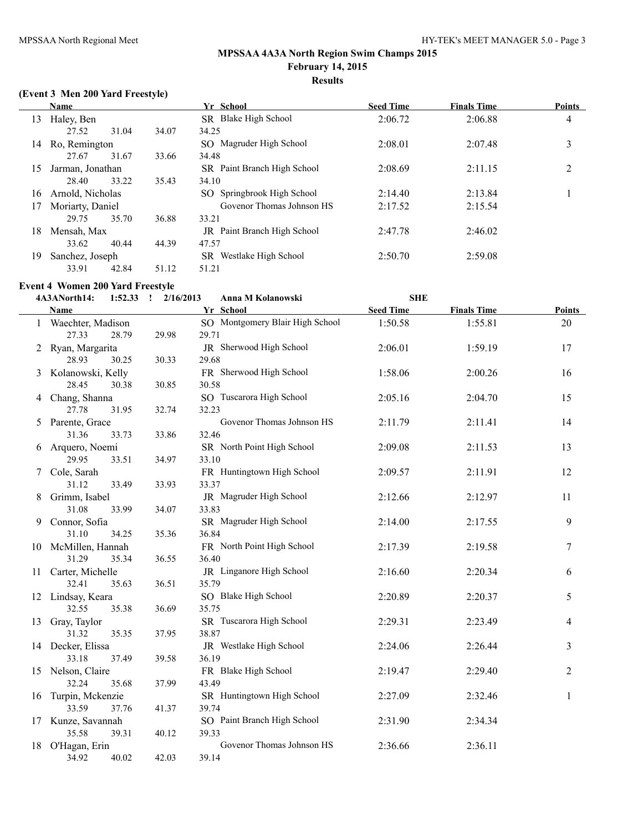# **(Event 3 Men 200 Yard Freestyle)**

|    | Name             |       |       | Yr School                          | <b>Seed Time</b> | <b>Finals Time</b> | <b>Points</b>  |
|----|------------------|-------|-------|------------------------------------|------------------|--------------------|----------------|
| 13 | Haley, Ben       |       |       | Blake High School<br>SR -          | 2:06.72          | 2:06.88            | 4              |
|    | 27.52            | 31.04 | 34.07 | 34.25                              |                  |                    |                |
| 14 | Ro, Remington    |       |       | Magruder High School<br>SO.        | 2:08.01          | 2:07.48            | 3              |
|    | 27.67            | 31.67 | 33.66 | 34.48                              |                  |                    |                |
| 15 | Jarman, Jonathan |       |       | SR Paint Branch High School        | 2:08.69          | 2:11.15            | $\overline{2}$ |
|    | 28.40            | 33.22 | 35.43 | 34.10                              |                  |                    |                |
| 16 | Arnold, Nicholas |       |       | SO Springbrook High School         | 2:14.40          | 2:13.84            |                |
| 17 | Moriarty, Daniel |       |       | Govenor Thomas Johnson HS          | 2:17.52          | 2:15.54            |                |
|    | 29.75            | 35.70 | 36.88 | 33.21                              |                  |                    |                |
| 18 | Mensah, Max      |       |       | <b>JR</b> Paint Branch High School | 2:47.78          | 2:46.02            |                |
|    | 33.62            | 40.44 | 44.39 | 47.57                              |                  |                    |                |
| 19 | Sanchez, Joseph  |       |       | SR Westlake High School            | 2:50.70          | 2:59.08            |                |
|    | 33.91            | 42.84 | 51.12 | 51.21                              |                  |                    |                |

#### **Event 4 Women 200 Yard Freestyle**

|    | 4A3ANorth14:                 | 1:52.33 | $\frac{1}{2}$ 2/16/2013 | Anna M Kolanowski                        | <b>SHE</b>       |                    |               |
|----|------------------------------|---------|-------------------------|------------------------------------------|------------------|--------------------|---------------|
|    | <b>Name</b>                  |         |                         | Yr School                                | <b>Seed Time</b> | <b>Finals Time</b> | <b>Points</b> |
|    | 1 Waechter, Madison<br>27.33 | 28.79   | 29.98                   | SO Montgomery Blair High School<br>29.71 | 1:50.58          | 1:55.81            | 20            |
| 2  | Ryan, Margarita<br>28.93     | 30.25   | 30.33                   | JR Sherwood High School<br>29.68         | 2:06.01          | 1:59.19            | 17            |
| 3  | Kolanowski, Kelly            |         |                         | FR Sherwood High School                  | 1:58.06          | 2:00.26            | 16            |
|    | 28.45                        | 30.38   | 30.85                   | 30.58                                    |                  |                    |               |
|    | 4 Chang, Shanna              |         |                         | SO Tuscarora High School                 | 2:05.16          | 2:04.70            | 15            |
|    | 27.78                        | 31.95   | 32.74                   | 32.23                                    |                  |                    |               |
| 5  | Parente, Grace               |         |                         | Govenor Thomas Johnson HS                | 2:11.79          | 2:11.41            | 14            |
|    | 31.36                        | 33.73   | 33.86                   | 32.46                                    |                  |                    |               |
| 6  | Arquero, Noemi               |         |                         | SR North Point High School               | 2:09.08          | 2:11.53            | 13            |
|    | 29.95                        | 33.51   | 34.97                   | 33.10                                    |                  |                    |               |
| 7  | Cole, Sarah                  |         |                         | FR Huntingtown High School               | 2:09.57          | 2:11.91            | 12            |
|    | 31.12                        | 33.49   | 33.93                   | 33.37                                    |                  |                    |               |
| 8  | Grimm, Isabel                |         |                         | JR Magruder High School                  | 2:12.66          | 2:12.97            | 11            |
|    | 31.08                        | 33.99   | 34.07                   | 33.83                                    |                  |                    |               |
| 9  | Connor, Sofia                |         |                         | SR Magruder High School                  | 2:14.00          | 2:17.55            | 9             |
|    | 31.10                        | 34.25   | 35.36                   | 36.84                                    |                  |                    |               |
|    | 10 McMillen, Hannah          |         |                         | FR North Point High School               | 2:17.39          | 2:19.58            | 7             |
|    | 31.29                        | 35.34   | 36.55                   | 36.40                                    |                  |                    |               |
| 11 | Carter, Michelle             |         |                         | JR Linganore High School                 | 2:16.60          | 2:20.34            | 6             |
|    | 32.41                        | 35.63   | 36.51                   | 35.79                                    |                  |                    |               |
|    | 12 Lindsay, Keara            |         |                         | SO Blake High School                     | 2:20.89          | 2:20.37            | 5             |
|    | 32.55                        | 35.38   | 36.69                   | 35.75                                    |                  |                    |               |
|    | 13 Gray, Taylor              |         |                         | SR Tuscarora High School                 | 2:29.31          | 2:23.49            | 4             |
|    | 31.32                        | 35.35   | 37.95                   | 38.87                                    |                  |                    |               |
|    | 14 Decker, Elissa            |         |                         | JR Westlake High School<br>36.19         | 2:24.06          | 2:26.44            | 3             |
|    | 33.18                        | 37.49   | 39.58                   | FR Blake High School                     |                  | 2:29.40            | 2             |
|    | 15 Nelson, Claire<br>32.24   | 35.68   | 37.99                   | 43.49                                    | 2:19.47          |                    |               |
| 16 | Turpin, Mckenzie             |         |                         | SR Huntingtown High School               | 2:27.09          | 2:32.46            | 1             |
|    | 33.59                        | 37.76   | 41.37                   | 39.74                                    |                  |                    |               |
|    | 17 Kunze, Savannah           |         |                         | SO Paint Branch High School              | 2:31.90          | 2:34.34            |               |
|    | 35.58                        | 39.31   | 40.12                   | 39.33                                    |                  |                    |               |
|    | 18 O'Hagan, Erin             |         |                         | Govenor Thomas Johnson HS                | 2:36.66          | 2:36.11            |               |
|    | 34.92                        | 40.02   | 42.03                   | 39.14                                    |                  |                    |               |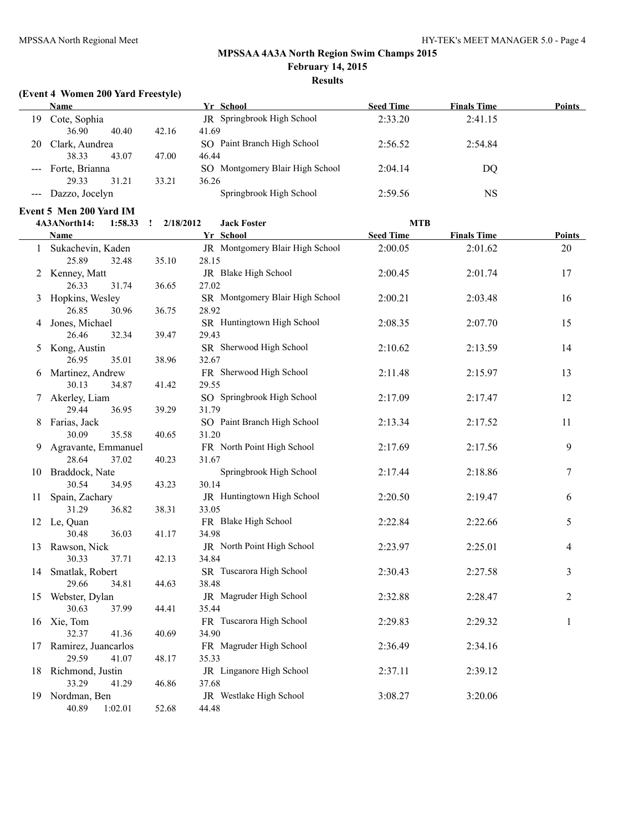# **(Event 4 Women 200 Yard Freestyle)**

|    | <b>Name</b>        |       |       | Yr School                       | <b>Seed Time</b> | <b>Finals Time</b> | Points |
|----|--------------------|-------|-------|---------------------------------|------------------|--------------------|--------|
| 19 | Cote, Sophia       |       |       | JR Springbrook High School      | 2:33.20          | 2:41.15            |        |
|    | 36.90              | 40.40 | 42.16 | 41.69                           |                  |                    |        |
| 20 | Clark, Aundrea     |       |       | SO Paint Branch High School     | 2:56.52          | 2:54.84            |        |
|    | 38.33              | 43.07 | 47.00 | 46.44                           |                  |                    |        |
|    | --- Forte, Brianna |       |       | SO Montgomery Blair High School | 2:04.14          | DO                 |        |
|    | 29.33              | 31.21 | 33.21 | 36.26                           |                  |                    |        |
|    | --- Dazzo, Jocelyn |       |       | Springbrook High School         | 2:59.56          | NS                 |        |
|    |                    |       |       |                                 |                  |                    |        |

# **Event 5 Men 200 Yard IM**

|              | 1:58.33<br>4A3ANorth14:           | 2/18/2012<br>$\cdot$ : | <b>Jack Foster</b>              | <b>MTB</b>       |                    |               |
|--------------|-----------------------------------|------------------------|---------------------------------|------------------|--------------------|---------------|
|              | Name                              |                        | Yr School                       | <b>Seed Time</b> | <b>Finals Time</b> | <b>Points</b> |
| $\mathbf{1}$ | Sukachevin, Kaden                 |                        | JR Montgomery Blair High School | 2:00.05          | 2:01.62            | 20            |
|              | 25.89<br>32.48                    | 35.10                  | 28.15                           |                  |                    |               |
|              | 2 Kenney, Matt                    |                        | JR Blake High School            | 2:00.45          | 2:01.74            | 17            |
|              | 26.33<br>31.74                    | 36.65                  | 27.02                           |                  |                    |               |
|              | 3 Hopkins, Wesley                 |                        | SR Montgomery Blair High School | 2:00.21          | 2:03.48            | 16            |
|              | 26.85<br>30.96                    | 36.75                  | 28.92                           |                  |                    |               |
| 4            | Jones, Michael                    |                        | SR Huntingtown High School      | 2:08.35          | 2:07.70            | 15            |
|              | 26.46<br>32.34                    | 39.47                  | 29.43                           |                  |                    |               |
|              | 5 Kong, Austin                    |                        | SR Sherwood High School         | 2:10.62          | 2:13.59            | 14            |
|              | 26.95<br>35.01                    | 38.96                  | 32.67                           |                  |                    |               |
| 6            | Martinez, Andrew                  |                        | FR Sherwood High School         | 2:11.48          | 2:15.97            | 13            |
|              | 30.13<br>34.87                    | 41.42                  | 29.55                           |                  |                    |               |
| 7            | Akerley, Liam                     |                        | SO Springbrook High School      | 2:17.09          | 2:17.47            | 12            |
|              | 29.44<br>36.95                    | 39.29                  | 31.79                           |                  |                    |               |
|              | Farias, Jack                      |                        | SO Paint Branch High School     | 2:13.34          | 2:17.52            | 11            |
|              | 30.09<br>35.58                    | 40.65                  | 31.20                           |                  |                    |               |
| 9.           | Agravante, Emmanuel               |                        | FR North Point High School      | 2:17.69          | 2:17.56            | 9             |
|              | 28.64<br>37.02                    | 40.23                  | 31.67                           |                  |                    |               |
|              | 10 Braddock, Nate                 |                        | Springbrook High School         | 2:17.44          | 2:18.86            | 7             |
|              | 30.54<br>34.95                    | 43.23                  | 30.14                           |                  |                    |               |
| 11           | Spain, Zachary                    |                        | JR Huntingtown High School      | 2:20.50          | 2:19.47            | 6             |
|              | 36.82<br>31.29                    | 38.31                  | 33.05<br>FR Blake High School   | 2:22.84          | 2:22.66            |               |
|              | 12 Le, Quan<br>30.48<br>36.03     |                        | 34.98                           |                  |                    | 5             |
|              |                                   | 41.17                  | JR North Point High School      | 2:23.97          | 2:25.01            | 4             |
|              | 13 Rawson, Nick<br>30.33<br>37.71 | 42.13                  | 34.84                           |                  |                    |               |
|              | 14 Smatlak, Robert                |                        | SR Tuscarora High School        | 2:30.43          | 2:27.58            | 3             |
|              | 29.66<br>34.81                    | 44.63                  | 38.48                           |                  |                    |               |
| 15           | Webster, Dylan                    |                        | JR Magruder High School         | 2:32.88          | 2:28.47            | 2             |
|              | 30.63<br>37.99                    | 44.41                  | 35.44                           |                  |                    |               |
| 16           | Xie, Tom                          |                        | FR Tuscarora High School        | 2:29.83          | 2:29.32            | 1             |
|              | 32.37<br>41.36                    | 40.69                  | 34.90                           |                  |                    |               |
| 17           | Ramirez, Juancarlos               |                        | FR Magruder High School         | 2:36.49          | 2:34.16            |               |
|              | 29.59<br>41.07                    | 48.17                  | 35.33                           |                  |                    |               |
|              | 18 Richmond, Justin               |                        | JR Linganore High School        | 2:37.11          | 2:39.12            |               |
|              | 33.29<br>41.29                    | 46.86                  | 37.68                           |                  |                    |               |
|              | 19 Nordman, Ben                   |                        | JR Westlake High School         | 3:08.27          | 3:20.06            |               |
|              | 40.89<br>1:02.01                  | 52.68                  | 44.48                           |                  |                    |               |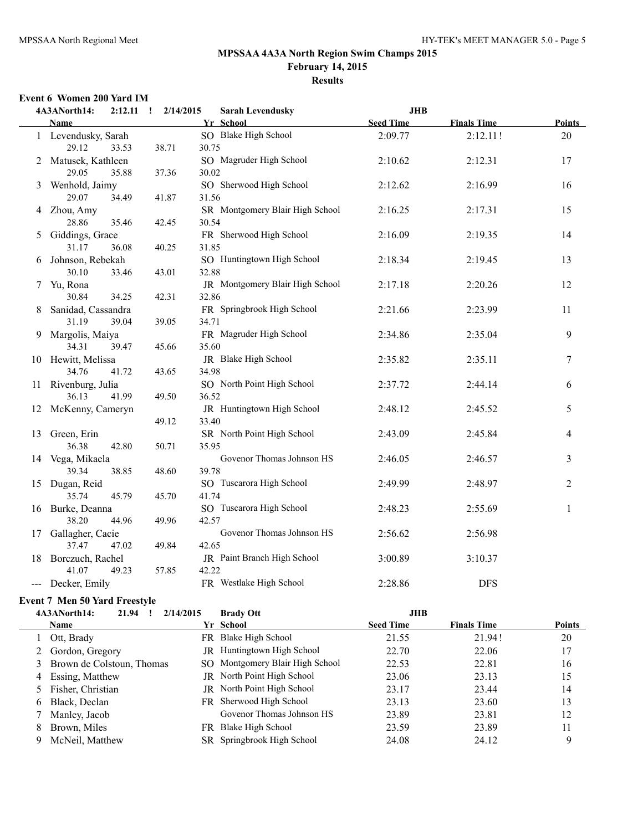# **MPSSAA 4A3A North Region Swim Champs 2015 February 14, 2015**

# **Results**

#### **Event 6 Women 200 Yard IM**

|                     | 4A3ANorth14:<br>2:12.11               | 2/14/2015<br>$\mathbf{I}$ | <b>Sarah Levendusky</b>              | <b>JHB</b>       |                    |               |
|---------------------|---------------------------------------|---------------------------|--------------------------------------|------------------|--------------------|---------------|
|                     | <b>Name</b>                           |                           | Yr School                            | <b>Seed Time</b> | <b>Finals Time</b> | <b>Points</b> |
|                     | 1 Levendusky, Sarah                   |                           | SO Blake High School                 | 2:09.77          | 2:12.11!           | 20            |
|                     | 29.12<br>33.53                        | 38.71                     | 30.75                                |                  |                    |               |
|                     | 2 Matusek, Kathleen                   |                           | SO Magruder High School              | 2:10.62          | 2:12.31            | 17            |
|                     | 29.05<br>35.88                        | 37.36                     | 30.02                                |                  |                    |               |
| 3                   | Wenhold, Jaimy                        |                           | SO Sherwood High School              | 2:12.62          | 2:16.99            | 16            |
|                     | 29.07<br>34.49                        | 41.87                     | 31.56                                |                  |                    |               |
|                     | 4 Zhou, Amy                           |                           | SR Montgomery Blair High School      | 2:16.25          | 2:17.31            | 15            |
|                     | 28.86<br>35.46                        | 42.45                     | 30.54                                |                  |                    |               |
| 5                   | Giddings, Grace                       |                           | FR Sherwood High School              | 2:16.09          | 2:19.35            | 14            |
|                     | 31.17<br>36.08                        | 40.25                     | 31.85                                |                  |                    |               |
| 6                   | Johnson, Rebekah                      |                           | SO Huntingtown High School           | 2:18.34          | 2:19.45            | 13            |
|                     | 30.10<br>33.46                        | 43.01                     | 32.88                                |                  |                    |               |
| 7                   | Yu, Rona                              |                           | JR Montgomery Blair High School      | 2:17.18          | 2:20.26            | 12            |
|                     | 30.84<br>34.25                        | 42.31                     | 32.86                                |                  |                    |               |
| 8                   | Sanidad, Cassandra                    |                           | FR Springbrook High School           | 2:21.66          | 2:23.99            | 11            |
|                     | 31.19<br>39.04                        | 39.05                     | 34.71                                |                  |                    |               |
| 9                   | Margolis, Maiya                       |                           | FR Magruder High School              | 2:34.86          | 2:35.04            | 9             |
|                     | 34.31<br>39.47                        | 45.66                     | 35.60                                |                  |                    |               |
|                     | 10 Hewitt, Melissa                    |                           | JR Blake High School                 | 2:35.82          | 2:35.11            | 7             |
|                     | 34.76<br>41.72                        | 43.65                     | 34.98                                |                  |                    |               |
| 11                  | Rivenburg, Julia                      |                           | SO North Point High School           | 2:37.72          | 2:44.14            | 6             |
|                     | 36.13<br>41.99                        | 49.50                     | 36.52                                |                  |                    |               |
| 12                  | McKenny, Cameryn                      |                           | JR Huntingtown High School           | 2:48.12          | 2:45.52            | 5             |
|                     |                                       | 49.12                     | 33.40                                |                  |                    |               |
| 13                  | Green, Erin                           |                           | SR North Point High School           | 2:43.09          | 2:45.84            | 4             |
|                     | 36.38<br>42.80                        | 50.71                     | 35.95                                |                  |                    |               |
| 14                  | Vega, Mikaela                         |                           | Govenor Thomas Johnson HS            | 2:46.05          | 2:46.57            | 3             |
|                     | 39.34<br>38.85                        | 48.60                     | 39.78                                |                  |                    |               |
| 15                  | Dugan, Reid                           |                           | SO Tuscarora High School             | 2:49.99          | 2:48.97            | 2             |
|                     | 35.74<br>45.79                        | 45.70                     | 41.74                                |                  |                    |               |
|                     | 16 Burke, Deanna                      |                           | SO Tuscarora High School             | 2:48.23          | 2:55.69            | 1             |
|                     | 38.20<br>44.96                        | 49.96                     | 42.57<br>Govenor Thomas Johnson HS   |                  |                    |               |
|                     | 17 Gallagher, Cacie<br>37.47<br>47.02 | 49.84                     | 42.65                                | 2:56.62          | 2:56.98            |               |
|                     |                                       |                           |                                      |                  |                    |               |
| 18                  | Borczuch, Rachel<br>41.07<br>49.23    | 57.85                     | JR Paint Branch High School<br>42.22 | 3:00.89          | 3:10.37            |               |
| $\qquad \qquad - -$ | Decker, Emily                         |                           | FR Westlake High School              | 2:28.86          | <b>DFS</b>         |               |
|                     |                                       |                           |                                      |                  |                    |               |

# **Event 7 Men 50 Yard Freestyle**

|    | 2/14/2015<br>4A3ANorth14:<br>21.94 |     | <b>Brady Ott</b>                  | <b>JHB</b>       |                    |               |
|----|------------------------------------|-----|-----------------------------------|------------------|--------------------|---------------|
|    | <b>Name</b>                        |     | Yr School                         | <b>Seed Time</b> | <b>Finals Time</b> | <b>Points</b> |
|    | Ott, Brady                         |     | FR Blake High School              | 21.55            | 21.94!             | 20            |
|    | 2 Gordon, Gregory                  | JR  | Huntingtown High School           | 22.70            | 22.06              | 17            |
|    | 3 Brown de Colstoun, Thomas        |     | SO Montgomery Blair High School   | 22.53            | 22.81              | 16            |
|    | 4 Essing, Matthew                  |     | JR North Point High School        | 23.06            | 23.13              | 15            |
|    | 5 Fisher, Christian                |     | <b>JR</b> North Point High School | 23.17            | 23.44              | 14            |
| 6. | Black, Declan                      |     | FR Sherwood High School           | 23.13            | 23.60              | 13            |
|    | Manley, Jacob                      |     | Govenor Thomas Johnson HS         | 23.89            | 23.81              | 12            |
| 8. | Brown, Miles                       | FR. | Blake High School                 | 23.59            | 23.89              | 11            |
|    | McNeil, Matthew                    |     | SR Springbrook High School        | 24.08            | 24.12              | 9             |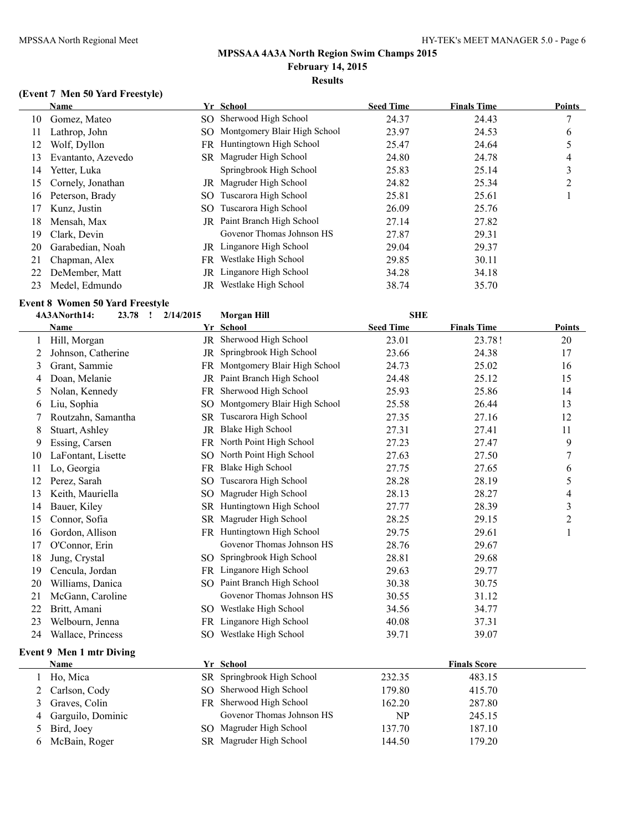#### **(Event 7 Men 50 Yard Freestyle)**

|     | <b>Name</b>        |     | Yr School                          | <b>Seed Time</b> | <b>Finals Time</b> | <b>Points</b> |
|-----|--------------------|-----|------------------------------------|------------------|--------------------|---------------|
| 10  | Gomez, Mateo       |     | SO Sherwood High School            | 24.37            | 24.43              | 7             |
| 11  | Lathrop, John      |     | SO Montgomery Blair High School    | 23.97            | 24.53              | 6             |
| 12  | Wolf, Dyllon       |     | FR Huntingtown High School         | 25.47            | 24.64              |               |
| 13  | Evantanto, Azevedo |     | SR Magruder High School            | 24.80            | 24.78              | 4             |
| 14  | Yetter, Luka       |     | Springbrook High School            | 25.83            | 25.14              | 3             |
| 15. | Cornely, Jonathan  | JR  | Magruder High School               | 24.82            | 25.34              | າ             |
| 16  | Peterson, Brady    | SO  | Tuscarora High School              | 25.81            | 25.61              |               |
| 17  | Kunz, Justin       | SO. | Tuscarora High School              | 26.09            | 25.76              |               |
| 18  | Mensah, Max        |     | <b>JR</b> Paint Branch High School | 27.14            | 27.82              |               |
| 19  | Clark, Devin       |     | Govenor Thomas Johnson HS          | 27.87            | 29.31              |               |
| 20  | Garabedian, Noah   |     | JR Linganore High School           | 29.04            | 29.37              |               |
| 21  | Chapman, Alex      | FR. | Westlake High School               | 29.85            | 30.11              |               |
| 22  | DeMember, Matt     |     | JR Linganore High School           | 34.28            | 34.18              |               |
| 23  | Medel, Edmundo     | JR  | Westlake High School               | 38.74            | 35.70              |               |

#### **Event 8 Women 50 Yard Freestyle**

|    | 4A3ANorth14:             | 2/14/2015<br>23.78<br>$\mathbf{I}$ | <b>Morgan Hill</b>           | <b>SHE</b>       |                     |                |
|----|--------------------------|------------------------------------|------------------------------|------------------|---------------------|----------------|
|    | Name                     |                                    | Yr School                    | <b>Seed Time</b> | <b>Finals Time</b>  | Points         |
|    | Hill, Morgan             | $_{\rm JR}$                        | Sherwood High School         | 23.01            | 23.78!              | 20             |
| 2  | Johnson, Catherine       | JR                                 | Springbrook High School      | 23.66            | 24.38               | 17             |
| 3  | Grant, Sammie            | FR -                               | Montgomery Blair High School | 24.73            | 25.02               | 16             |
| 4  | Doan, Melanie            | JR                                 | Paint Branch High School     | 24.48            | 25.12               | 15             |
| 5  | Nolan, Kennedy           | FR                                 | Sherwood High School         | 25.93            | 25.86               | 14             |
| 6  | Liu, Sophia              | SO.                                | Montgomery Blair High School | 25.58            | 26.44               | 13             |
|    | Routzahn, Samantha       |                                    | SR Tuscarora High School     | 27.35            | 27.16               | 12             |
| 8  | Stuart, Ashley           |                                    | JR Blake High School         | 27.31            | 27.41               | 11             |
| 9  | Essing, Carsen           | FR                                 | North Point High School      | 27.23            | 27.47               | 9              |
| 10 | LaFontant, Lisette       | SO.                                | North Point High School      | 27.63            | 27.50               | 7              |
| 11 | Lo, Georgia              | FR.                                | <b>Blake High School</b>     | 27.75            | 27.65               | 6              |
| 12 | Perez, Sarah             | SO.                                | Tuscarora High School        | 28.28            | 28.19               | 5              |
| 13 | Keith, Mauriella         | SO.                                | Magruder High School         | 28.13            | 28.27               | 4              |
| 14 | Bauer, Kiley             | <b>SR</b>                          | Huntingtown High School      | 27.77            | 28.39               | 3              |
| 15 | Connor, Sofia            | SR.                                | Magruder High School         | 28.25            | 29.15               | $\overline{c}$ |
| 16 | Gordon, Allison          |                                    | FR Huntingtown High School   | 29.75            | 29.61               | 1              |
| 17 | O'Connor, Erin           |                                    | Govenor Thomas Johnson HS    | 28.76            | 29.67               |                |
| 18 | Jung, Crystal            | SO <sub>2</sub>                    | Springbrook High School      | 28.81            | 29.68               |                |
| 19 | Cencula, Jordan          |                                    | FR Linganore High School     | 29.63            | 29.77               |                |
| 20 | Williams, Danica         |                                    | SO Paint Branch High School  | 30.38            | 30.75               |                |
| 21 | McGann, Caroline         |                                    | Govenor Thomas Johnson HS    | 30.55            | 31.12               |                |
| 22 | Britt, Amani             |                                    | SO Westlake High School      | 34.56            | 34.77               |                |
| 23 | Welbourn, Jenna          |                                    | FR Linganore High School     | 40.08            | 37.31               |                |
| 24 | Wallace, Princess        |                                    | SO Westlake High School      | 39.71            | 39.07               |                |
|    | Event 9 Men 1 mtr Diving |                                    |                              |                  |                     |                |
|    | Name                     |                                    | Yr School                    |                  | <b>Finals Score</b> |                |
|    | Ho, Mica                 |                                    | SR Springbrook High School   | 232.35           | 483.15              |                |
| 2  | Carlson, Cody            |                                    | SO Sherwood High School      | 179.80           | 415.70              |                |
| 3  | Graves, Colin            |                                    | FR Sherwood High School      | 162.20           | 287.80              |                |

4 Garguilo, Dominic Govenor Thomas Johnson HS NP 245.15 5 Bird, Joey SO Magruder High School 137.70 187.10 McBain, Roger SR Magruder High School 144.50 179.20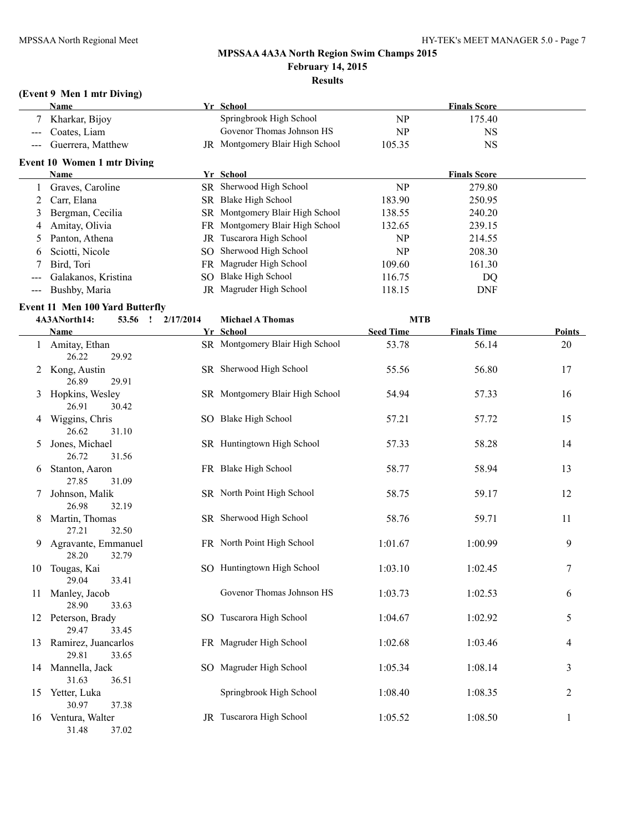# **(Event 9 Men 1 mtr Diving)**

|                                          | Name                                   |           | Yr School                       |                  | <b>Finals Score</b> |               |
|------------------------------------------|----------------------------------------|-----------|---------------------------------|------------------|---------------------|---------------|
|                                          | Kharkar, Bijoy                         |           | Springbrook High School         | NP               | 175.40              |               |
|                                          | Coates, Liam                           |           | Govenor Thomas Johnson HS       | NP               | NS                  |               |
| $\hspace{0.05cm} \ldots \hspace{0.05cm}$ | Guerrera, Matthew                      |           | JR Montgomery Blair High School | 105.35           | <b>NS</b>           |               |
|                                          | <b>Event 10 Women 1 mtr Diving</b>     |           |                                 |                  |                     |               |
|                                          | <b>Name</b>                            |           | Yr School                       |                  | <b>Finals Score</b> |               |
| 1                                        | Graves, Caroline                       |           | SR Sherwood High School         | NP               | 279.80              |               |
| 2                                        | Carr, Elana                            |           | SR Blake High School            | 183.90           | 250.95              |               |
| 3                                        | Bergman, Cecilia                       |           | SR Montgomery Blair High School | 138.55           | 240.20              |               |
| 4                                        | Amitay, Olivia                         |           | FR Montgomery Blair High School | 132.65           | 239.15              |               |
| 5                                        | Panton, Athena                         |           | JR Tuscarora High School        | NP               | 214.55              |               |
| 6                                        | Sciotti, Nicole                        |           | SO Sherwood High School         | NP               | 208.30              |               |
| 7                                        | Bird, Tori                             |           | FR Magruder High School         | 109.60           | 161.30              |               |
| $---$                                    | Galakanos, Kristina                    |           | SO Blake High School            | 116.75           | DQ                  |               |
| $\qquad \qquad - \qquad -$               | Bushby, Maria                          |           | JR Magruder High School         | 118.15           | <b>DNF</b>          |               |
|                                          | <b>Event 11 Men 100 Yard Butterfly</b> |           |                                 |                  |                     |               |
|                                          | 4A3ANorth14:<br>53.56 !                | 2/17/2014 | <b>Michael A Thomas</b>         | <b>MTB</b>       |                     |               |
|                                          | Name                                   |           | Yr School                       | <b>Seed Time</b> | <b>Finals Time</b>  | <b>Points</b> |
|                                          | 1 Amitay, Ethan<br>26.22<br>29.92      |           | SR Montgomery Blair High School | 53.78            | 56.14               | 20            |
|                                          | 2 Kong, Austin<br>26.89<br>29.91       |           | SR Sherwood High School         | 55.56            | 56.80               | 17            |
| 3                                        | Hopkins, Wesley<br>26.91<br>30.42      |           | SR Montgomery Blair High School | 54.94            | 57.33               | 16            |
| 4                                        | Wiggins, Chris<br>26.62<br>31.10       |           | SO Blake High School            | 57.21            | 57.72               | 15            |
| 5                                        | Jones, Michael<br>26.72<br>31.56       |           | SR Huntingtown High School      | 57.33            | 58.28               | 14            |
| 6                                        | Stanton, Aaron<br>27.85<br>31.09       |           | FR Blake High School            | 58.77            | 58.94               | 13            |
| 7                                        | Johnson, Malik<br>26.98<br>32.19       |           | SR North Point High School      | 58.75            | 59.17               | 12            |
| 8                                        | Martin, Thomas<br>32.50<br>27.21       |           | SR Sherwood High School         | 58.76            | 59.71               | 11            |
| 9                                        | Agravante, Emmanuel<br>28.20<br>32.79  |           | FR North Point High School      | 1:01.67          | 1:00.99             | 9             |
| 10                                       | Tougas, Kai<br>29.04<br>33.41          |           | SO Huntingtown High School      | 1:03.10          | 1:02.45             | 7             |
| 11                                       | Manley, Jacob<br>28.90<br>33.63        |           | Govenor Thomas Johnson HS       | 1:03.73          | 1:02.53             | 6             |
|                                          | 12 Peterson, Brady<br>29.47<br>33.45   |           | SO Tuscarora High School        | 1:04.67          | 1:02.92             | 5             |
| 13                                       | Ramirez, Juancarlos<br>29.81<br>33.65  |           | FR Magruder High School         | 1:02.68          | 1:03.46             | 4             |
| 14                                       | Mannella, Jack<br>31.63<br>36.51       |           | SO Magruder High School         | 1:05.34          | 1:08.14             | 3             |
| 15                                       | Yetter, Luka<br>30.97<br>37.38         |           | Springbrook High School         | 1:08.40          | 1:08.35             | 2             |
| 16                                       | Ventura, Walter<br>31.48<br>37.02      |           | JR Tuscarora High School        | 1:05.52          | 1:08.50             | 1             |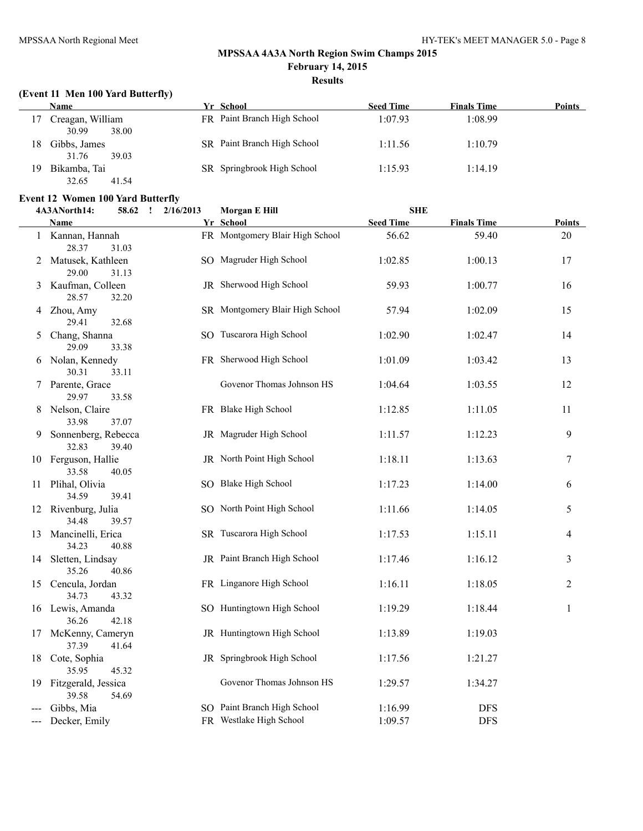# **(Event 11 Men 100 Yard Butterfly)**

| Name                                 | Yr School                   | <b>Seed Time</b> | <b>Finals Time</b> | Points |
|--------------------------------------|-----------------------------|------------------|--------------------|--------|
| Creagan, William<br>30.99<br>38.00   | FR Paint Branch High School | 1:07.93          | 1:08.99            |        |
| 18<br>Gibbs, James<br>31.76<br>39.03 | SR Paint Branch High School | 1:11.56          | 1:10.79            |        |
| Bikamba, Tai<br>19<br>32.65<br>41.54 | SR Springbrook High School  | 1:15.93          | 1:14.19            |        |

# **Event 12 Women 100 Yard Butterfly**<br>4A3ANorth14: 58.62 1 2/16/

|   | 4A3ANorth14:                             | 58.62 : 2/16/2013 | Morgan E Hill                   | <b>SHE</b>       |                    |               |
|---|------------------------------------------|-------------------|---------------------------------|------------------|--------------------|---------------|
|   | <b>Name</b>                              |                   | Yr School                       | <b>Seed Time</b> | <b>Finals Time</b> | <b>Points</b> |
|   | 1 Kannan, Hannah<br>28.37<br>31.03       |                   | FR Montgomery Blair High School | 56.62            | 59.40              | 20            |
|   | 2 Matusek, Kathleen<br>29.00<br>31.13    |                   | SO Magruder High School         | 1:02.85          | 1:00.13            | 17            |
| 3 | Kaufman, Colleen<br>28.57<br>32.20       |                   | JR Sherwood High School         | 59.93            | 1:00.77            | 16            |
|   | 4 Zhou, Amy<br>29.41<br>32.68            |                   | SR Montgomery Blair High School | 57.94            | 1:02.09            | 15            |
| 5 | Chang, Shanna<br>29.09<br>33.38          |                   | SO Tuscarora High School        | 1:02.90          | 1:02.47            | 14            |
|   | 6 Nolan, Kennedy<br>30.31<br>33.11       |                   | FR Sherwood High School         | 1:01.09          | 1:03.42            | 13            |
|   | 7 Parente, Grace<br>29.97<br>33.58       |                   | Govenor Thomas Johnson HS       | 1:04.64          | 1:03.55            | 12            |
|   | 8 Nelson, Claire<br>33.98<br>37.07       |                   | FR Blake High School            | 1:12.85          | 1:11.05            | 11            |
| 9 | Sonnenberg, Rebecca<br>32.83<br>39.40    |                   | JR Magruder High School         | 1:11.57          | 1:12.23            | 9             |
|   | 10 Ferguson, Hallie<br>33.58<br>40.05    |                   | JR North Point High School      | 1:18.11          | 1:13.63            | 7             |
|   | 11 Plihal, Olivia<br>34.59<br>39.41      |                   | SO Blake High School            | 1:17.23          | 1:14.00            | 6             |
|   | 12 Rivenburg, Julia<br>34.48<br>39.57    |                   | SO North Point High School      | 1:11.66          | 1:14.05            | 5             |
|   | 13 Mancinelli, Erica<br>34.23<br>40.88   |                   | SR Tuscarora High School        | 1:17.53          | 1:15.11            | 4             |
|   | 14 Sletten, Lindsay<br>35.26<br>40.86    |                   | JR Paint Branch High School     | 1:17.46          | 1:16.12            | 3             |
|   | 15 Cencula, Jordan<br>34.73<br>43.32     |                   | FR Linganore High School        | 1:16.11          | 1:18.05            | 2             |
|   | 16 Lewis, Amanda<br>36.26<br>42.18       |                   | SO Huntingtown High School      | 1:19.29          | 1:18.44            | $\mathbf{1}$  |
|   | 17 McKenny, Cameryn<br>37.39<br>41.64    |                   | JR Huntingtown High School      | 1:13.89          | 1:19.03            |               |
|   | 18 Cote, Sophia<br>35.95<br>45.32        |                   | JR Springbrook High School      | 1:17.56          | 1:21.27            |               |
|   | 19 Fitzgerald, Jessica<br>39.58<br>54.69 |                   | Govenor Thomas Johnson HS       | 1:29.57          | 1:34.27            |               |
|   | Gibbs, Mia                               |                   | SO Paint Branch High School     | 1:16.99          | <b>DFS</b>         |               |
|   | Decker, Emily                            |                   | FR Westlake High School         | 1:09.57          | <b>DFS</b>         |               |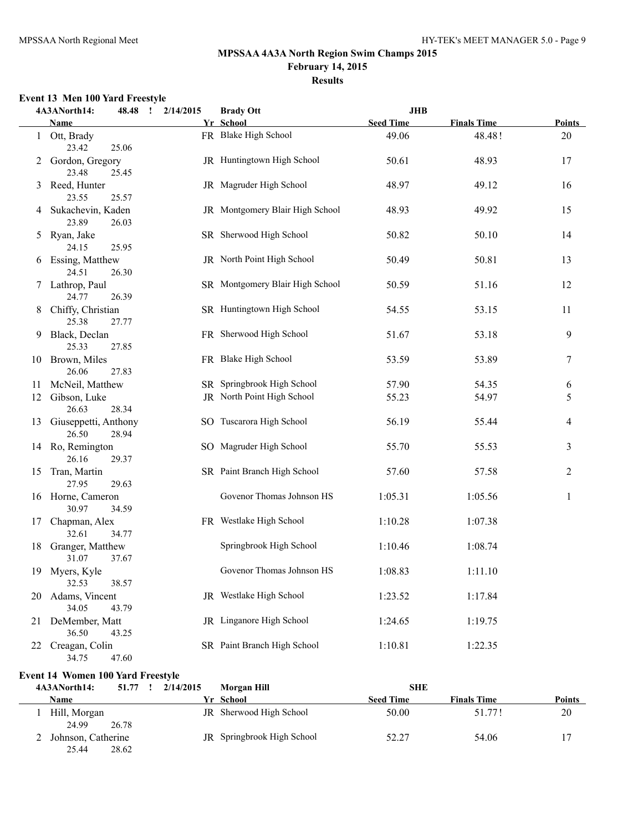# **Event 13 Men 100 Yard Freestyle**

|    | 4A3ANorth14:<br>48.48                  | 2/14/2015<br>$\cdot$ | <b>Brady Ott</b>                | JHB              |                    |               |
|----|----------------------------------------|----------------------|---------------------------------|------------------|--------------------|---------------|
|    | Name                                   |                      | Yr School                       | <b>Seed Time</b> | <b>Finals Time</b> | <b>Points</b> |
|    | 1 Ott, Brady<br>23.42<br>25.06         |                      | FR Blake High School            | 49.06            | 48.48!             | 20            |
|    | 2 Gordon, Gregory<br>23.48<br>25.45    |                      | JR Huntingtown High School      | 50.61            | 48.93              | 17            |
|    | 3 Reed, Hunter<br>23.55<br>25.57       |                      | JR Magruder High School         | 48.97            | 49.12              | 16            |
|    | 4 Sukachevin, Kaden<br>23.89<br>26.03  |                      | JR Montgomery Blair High School | 48.93            | 49.92              | 15            |
| 5  | Ryan, Jake<br>24.15<br>25.95           |                      | SR Sherwood High School         | 50.82            | 50.10              | 14            |
|    | 6 Essing, Matthew<br>24.51<br>26.30    |                      | JR North Point High School      | 50.49            | 50.81              | 13            |
|    | 7 Lathrop, Paul<br>26.39<br>24.77      |                      | SR Montgomery Blair High School | 50.59            | 51.16              | 12            |
| 8  | Chiffy, Christian<br>25.38<br>27.77    |                      | SR Huntingtown High School      | 54.55            | 53.15              | 11            |
| 9. | Black, Declan<br>25.33<br>27.85        |                      | FR Sherwood High School         | 51.67            | 53.18              | 9             |
|    | 10 Brown, Miles<br>26.06<br>27.83      |                      | FR Blake High School            | 53.59            | 53.89              | 7             |
| 11 | McNeil, Matthew                        |                      | SR Springbrook High School      | 57.90            | 54.35              | 6             |
| 12 | Gibson, Luke<br>26.63<br>28.34         |                      | JR North Point High School      | 55.23            | 54.97              | 5             |
| 13 | Giuseppetti, Anthony<br>26.50<br>28.94 |                      | SO Tuscarora High School        | 56.19            | 55.44              | 4             |
|    | 14 Ro, Remington<br>26.16<br>29.37     |                      | SO Magruder High School         | 55.70            | 55.53              | 3             |
| 15 | Tran, Martin<br>27.95<br>29.63         |                      | SR Paint Branch High School     | 57.60            | 57.58              | 2             |
|    | 16 Horne, Cameron<br>30.97<br>34.59    |                      | Govenor Thomas Johnson HS       | 1:05.31          | 1:05.56            | $\mathbf{1}$  |
| 17 | Chapman, Alex<br>32.61<br>34.77        |                      | FR Westlake High School         | 1:10.28          | 1:07.38            |               |
| 18 | Granger, Matthew<br>31.07<br>37.67     |                      | Springbrook High School         | 1:10.46          | 1:08.74            |               |
| 19 | Myers, Kyle<br>32.53<br>38.57          |                      | Govenor Thomas Johnson HS       | 1:08.83          | 1:11.10            |               |
| 20 | Adams, Vincent<br>34.05<br>43.79       |                      | JR Westlake High School         | 1:23.52          | 1:17.84            |               |
| 21 | DeMember, Matt<br>36.50<br>43.25       |                      | JR Linganore High School        | 1:24.65          | 1:19.75            |               |
| 22 | Creagan, Colin<br>34.75<br>47.60       |                      | SR Paint Branch High School     | 1:10.81          | 1:22.35            |               |

# **Event 14 Women 100 Yard Freestyle**

| 4A3ANorth14:                | 51.77 | 2/14/2015 | Morgan Hill                | SHE              |                    |               |
|-----------------------------|-------|-----------|----------------------------|------------------|--------------------|---------------|
| Name                        |       |           | Yr School                  | <b>Seed Time</b> | <b>Finals Time</b> | <b>Points</b> |
| Hill, Morgan<br>24.99       | 26.78 |           | JR Sherwood High School    | 50.00            | 51.771             | 20            |
| Johnson, Catherine<br>25.44 | 28.62 |           | JR Springbrook High School | 52.27            | 54.06              |               |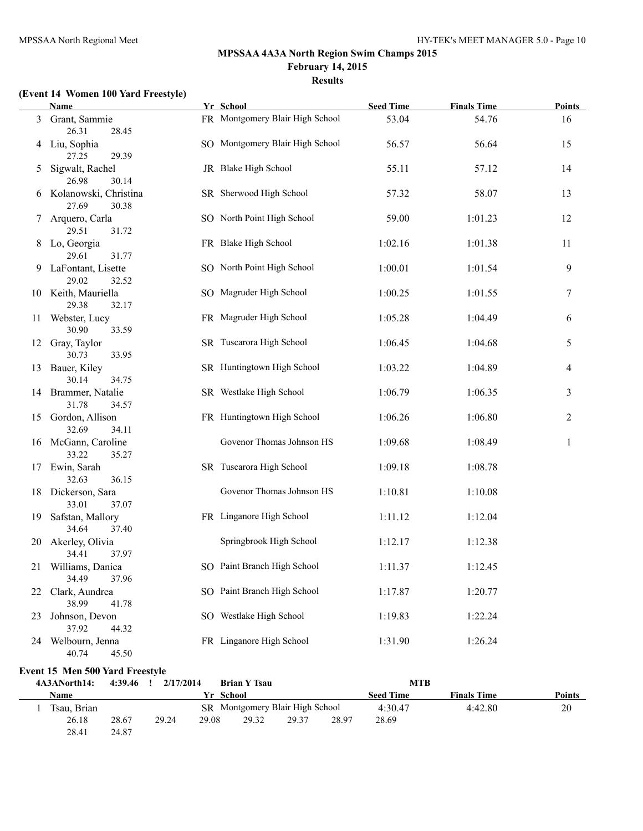#### **(Event 14 Women 100 Yard Freestyle)**

28.41 24.87

|     | <b>Name</b>                             |                | Yr School                                                  | <b>Seed Time</b> | <b>Finals Time</b> | <b>Points</b> |
|-----|-----------------------------------------|----------------|------------------------------------------------------------|------------------|--------------------|---------------|
| 3   | Grant, Sammie<br>26.31<br>28.45         |                | FR Montgomery Blair High School                            | 53.04            | 54.76              | 16            |
|     | 4 Liu, Sophia<br>27.25<br>29.39         |                | SO Montgomery Blair High School                            | 56.57            | 56.64              | 15            |
| 5   | Sigwalt, Rachel<br>26.98<br>30.14       |                | JR Blake High School                                       | 55.11            | 57.12              | 14            |
| 6   | Kolanowski, Christina<br>27.69<br>30.38 |                | SR Sherwood High School                                    | 57.32            | 58.07              | 13            |
| 7   | Arquero, Carla<br>29.51<br>31.72        |                | SO North Point High School                                 | 59.00            | 1:01.23            | 12            |
|     | 8 Lo, Georgia<br>29.61<br>31.77         |                | FR Blake High School                                       | 1:02.16          | 1:01.38            | 11            |
|     | 9 LaFontant, Lisette<br>29.02<br>32.52  |                | SO North Point High School                                 | 1:00.01          | 1:01.54            | 9             |
|     | 10 Keith, Mauriella<br>29.38<br>32.17   |                | SO Magruder High School                                    | 1:00.25          | 1:01.55            | 7             |
| 11  | Webster, Lucy<br>30.90<br>33.59         |                | FR Magruder High School                                    | 1:05.28          | 1:04.49            | 6             |
| 12  | Gray, Taylor<br>30.73<br>33.95          |                | SR Tuscarora High School                                   | 1:06.45          | 1:04.68            | 5             |
| 13  | Bauer, Kiley<br>30.14<br>34.75          |                | SR Huntingtown High School                                 | 1:03.22          | 1:04.89            | 4             |
|     | 14 Brammer, Natalie<br>31.78<br>34.57   |                | SR Westlake High School                                    | 1:06.79          | 1:06.35            | 3             |
| 15  | Gordon, Allison<br>32.69<br>34.11       |                | FR Huntingtown High School                                 | 1:06.26          | 1:06.80            | 2             |
|     | 16 McGann, Caroline<br>33.22<br>35.27   |                | Govenor Thomas Johnson HS                                  | 1:09.68          | 1:08.49            | 1             |
|     | 17 Ewin, Sarah<br>36.15<br>32.63        |                | SR Tuscarora High School                                   | 1:09.18          | 1:08.78            |               |
|     | 18 Dickerson, Sara<br>33.01<br>37.07    |                | Govenor Thomas Johnson HS                                  | 1:10.81          | 1:10.08            |               |
| 19. | Safstan, Mallory<br>34.64<br>37.40      |                | FR Linganore High School                                   | 1:11.12          | 1:12.04            |               |
| 20  | Akerley, Olivia<br>34.41<br>37.97       |                | Springbrook High School                                    | 1:12.17          | 1:12.38            |               |
|     | 21 Williams, Danica<br>34.49<br>37.96   |                | SO Paint Branch High School                                | 1:11.37          | 1:12.45            |               |
| 22  | Clark, Aundrea<br>38.99<br>41.78        |                | SO Paint Branch High School                                | 1:17.87          | 1:20.77            |               |
| 23  | Johnson, Devon<br>37.92<br>44.32        |                | SO Westlake High School                                    | 1:19.83          | 1:22.24            |               |
| 24  | Welbourn, Jenna<br>40.74<br>45.50       |                | FR Linganore High School                                   | 1:31.90          | 1:26.24            |               |
|     | Event 15 Men 500 Yard Freestyle         |                |                                                            |                  |                    |               |
|     | 4A3ANorth14:<br>$4:39.46$ !             | 2/17/2014      | <b>Brian Y Tsau</b>                                        | <b>MTB</b>       |                    |               |
|     | <b>Name</b>                             |                | Yr School                                                  | <b>Seed Time</b> | <b>Finals Time</b> | <b>Points</b> |
|     | 1 Tsau, Brian<br>26.18<br>28.67         | 29.24<br>29.08 | SR Montgomery Blair High School<br>29.32<br>29.37<br>28.97 | 4:30.47<br>28.69 | 4:42.80            | 20            |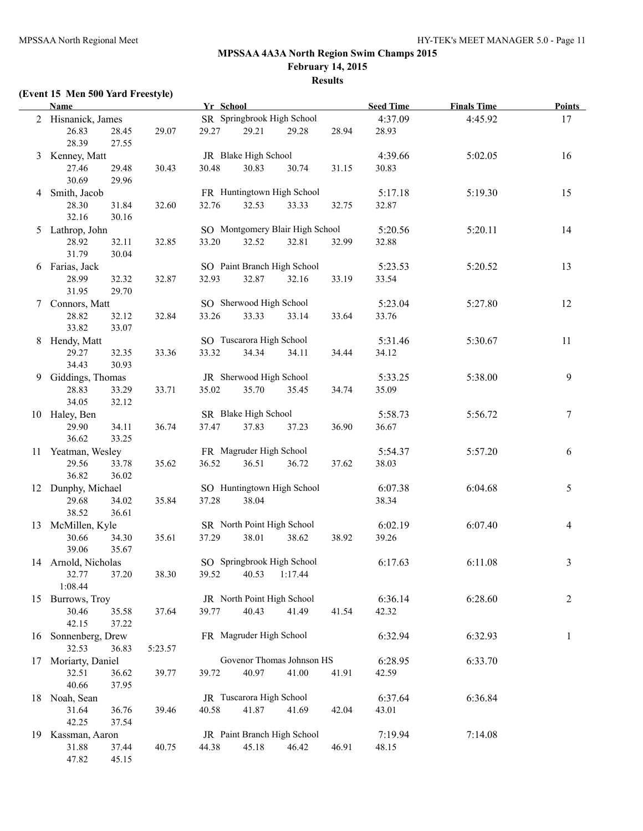# **(Event 15 Men 500 Yard Freestyle)**

|                 | <b>Name</b>                      |         | Yr School |                          |                                 |       | <b>Seed Time</b> | <b>Finals Time</b> | <b>Points</b>  |
|-----------------|----------------------------------|---------|-----------|--------------------------|---------------------------------|-------|------------------|--------------------|----------------|
|                 | 2 Hisnanick, James               |         |           |                          | SR Springbrook High School      |       | 4:37.09          | 4:45.92            | 17             |
|                 | 26.83<br>28.45<br>28.39<br>27.55 | 29.07   | 29.27     | 29.21                    | 29.28                           | 28.94 | 28.93            |                    |                |
| 3               | Kenney, Matt                     |         |           | JR Blake High School     |                                 |       | 4:39.66          | 5:02.05            | 16             |
|                 | 29.48<br>27.46                   | 30.43   | 30.48     | 30.83                    | 30.74                           | 31.15 | 30.83            |                    |                |
|                 | 30.69<br>29.96                   |         |           |                          |                                 |       |                  |                    |                |
|                 | 4 Smith, Jacob                   |         |           |                          | FR Huntingtown High School      |       | 5:17.18          | 5:19.30            | 15             |
|                 | 28.30<br>31.84                   | 32.60   | 32.76     | 32.53                    | 33.33                           | 32.75 | 32.87            |                    |                |
|                 | 32.16<br>30.16                   |         |           |                          |                                 |       |                  |                    |                |
|                 | 5 Lathrop, John                  |         |           |                          | SO Montgomery Blair High School |       | 5:20.56          | 5:20.11            | 14             |
|                 | 28.92<br>32.11                   | 32.85   | 33.20     | 32.52                    | 32.81                           | 32.99 | 32.88            |                    |                |
|                 | 31.79<br>30.04                   |         |           |                          |                                 |       |                  |                    |                |
|                 | 6 Farias, Jack                   |         |           |                          | SO Paint Branch High School     |       | 5:23.53          | 5:20.52            | 13             |
|                 | 28.99<br>32.32                   | 32.87   | 32.93     | 32.87                    | 32.16                           | 33.19 | 33.54            |                    |                |
|                 | 31.95<br>29.70                   |         |           |                          |                                 |       |                  |                    |                |
| $7\overline{ }$ | Connors, Matt                    |         |           | SO Sherwood High School  |                                 |       | 5:23.04          | 5:27.80            | 12             |
|                 | 28.82<br>32.12                   | 32.84   | 33.26     | 33.33                    | 33.14                           | 33.64 | 33.76            |                    |                |
|                 | 33.82<br>33.07                   |         |           |                          |                                 |       |                  |                    |                |
|                 | 8 Hendy, Matt                    |         |           | SO Tuscarora High School |                                 |       | 5:31.46          | 5:30.67            | 11             |
|                 | 29.27<br>32.35                   | 33.36   | 33.32     | 34.34                    | 34.11                           | 34.44 | 34.12            |                    |                |
|                 | 34.43<br>30.93                   |         |           |                          |                                 |       |                  |                    |                |
|                 | 9 Giddings, Thomas               |         |           | JR Sherwood High School  |                                 |       | 5:33.25          | 5:38.00            | 9              |
|                 | 28.83<br>33.29                   | 33.71   | 35.02     | 35.70                    | 35.45                           | 34.74 | 35.09            |                    |                |
|                 | 34.05<br>32.12                   |         |           |                          |                                 |       |                  |                    |                |
|                 | 10 Haley, Ben                    |         |           | SR Blake High School     |                                 |       | 5:58.73          | 5:56.72            | $\tau$         |
|                 | 34.11<br>29.90                   | 36.74   | 37.47     | 37.83                    | 37.23                           | 36.90 | 36.67            |                    |                |
|                 | 36.62<br>33.25                   |         |           |                          |                                 |       |                  |                    |                |
|                 | 11 Yeatman, Wesley               |         |           | FR Magruder High School  |                                 |       | 5:54.37          | 5:57.20            | 6              |
|                 | 29.56<br>33.78                   | 35.62   | 36.52     | 36.51                    | 36.72                           | 37.62 | 38.03            |                    |                |
|                 | 36.82<br>36.02                   |         |           |                          |                                 |       |                  |                    |                |
|                 | 12 Dunphy, Michael               |         |           |                          | SO Huntingtown High School      |       | 6:07.38          | 6:04.68            | 5              |
|                 | 29.68<br>34.02                   | 35.84   | 37.28     | 38.04                    |                                 |       | 38.34            |                    |                |
|                 | 38.52<br>36.61                   |         |           |                          |                                 |       |                  |                    |                |
|                 | 13 McMillen, Kyle                |         |           |                          | SR North Point High School      |       | 6:02.19          | 6:07.40            | 4              |
|                 | 30.66<br>34.30                   | 35.61   | 37.29     | 38.01                    | 38.62                           | 38.92 | 39.26            |                    |                |
|                 | 39.06<br>35.67                   |         |           |                          |                                 |       |                  |                    |                |
|                 | 14 Arnold, Nicholas              |         |           |                          | SO Springbrook High School      |       | 6:17.63          | 6:11.08            | $\mathfrak{Z}$ |
|                 | 37.20<br>32.77<br>1:08.44        | 38.30   |           | 39.52 40.53 1:17.44      |                                 |       |                  |                    |                |
|                 | 15 Burrows, Troy                 |         |           |                          | JR North Point High School      |       | 6:36.14          | 6:28.60            | $\overline{c}$ |
|                 | 30.46<br>35.58                   | 37.64   | 39.77     | 40.43                    | 41.49                           | 41.54 | 42.32            |                    |                |
|                 | 42.15<br>37.22                   |         |           |                          |                                 |       |                  |                    |                |
|                 | 16 Sonnenberg, Drew              |         |           | FR Magruder High School  |                                 |       | 6:32.94          | 6:32.93            | $\mathbf{1}$   |
|                 | 32.53<br>36.83                   | 5:23.57 |           |                          |                                 |       |                  |                    |                |
|                 | 17 Moriarty, Daniel              |         |           |                          | Govenor Thomas Johnson HS       |       | 6:28.95          | 6:33.70            |                |
|                 | 32.51<br>36.62                   | 39.77   | 39.72     | 40.97                    | 41.00                           | 41.91 | 42.59            |                    |                |
|                 | 40.66<br>37.95                   |         |           |                          |                                 |       |                  |                    |                |
|                 | 18 Noah, Sean                    |         |           | JR Tuscarora High School |                                 |       | 6:37.64          | 6:36.84            |                |
|                 | 36.76<br>31.64                   | 39.46   | 40.58     | 41.87                    | 41.69                           | 42.04 | 43.01            |                    |                |
|                 | 42.25<br>37.54                   |         |           |                          |                                 |       |                  |                    |                |
|                 | 19 Kassman, Aaron                |         |           |                          | JR Paint Branch High School     |       | 7:19.94          | 7:14.08            |                |
|                 | 31.88<br>37.44                   | 40.75   | 44.38     | 45.18                    | 46.42                           | 46.91 | 48.15            |                    |                |
|                 | 47.82<br>45.15                   |         |           |                          |                                 |       |                  |                    |                |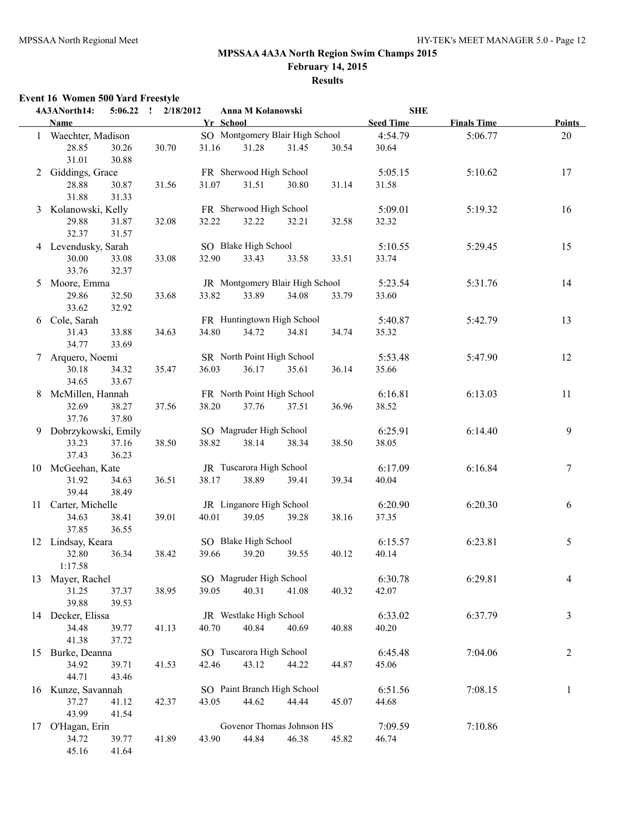# **MPSSAA 4A3A North Region Swim Champs 2015 February 14, 2015**

#### **Results**

# **Event 16 Women 500 Yard Freestyle**

|   | 4A3ANorth14:          | 5:06.22        | 2/18/2012<br>$\cdot$ |       | Anna M Kolanowski               |       |       | <b>SHE</b>       |                    |                |
|---|-----------------------|----------------|----------------------|-------|---------------------------------|-------|-------|------------------|--------------------|----------------|
|   | Name                  |                |                      |       | Yr School                       |       |       | <b>Seed Time</b> | <b>Finals Time</b> | <b>Points</b>  |
|   | 1 Waechter, Madison   |                |                      |       | SO Montgomery Blair High School |       |       | 4:54.79          | 5:06.77            | 20             |
|   | 28.85<br>31.01        | 30.26<br>30.88 | 30.70                | 31.16 | 31.28                           | 31.45 | 30.54 | 30.64            |                    |                |
|   | 2 Giddings, Grace     |                |                      |       | FR Sherwood High School         |       |       | 5:05.15          | 5:10.62            | 17             |
|   | 28.88<br>31.88        | 30.87<br>31.33 | 31.56                | 31.07 | 31.51                           | 30.80 | 31.14 | 31.58            |                    |                |
| 3 | Kolanowski, Kelly     |                |                      |       | FR Sherwood High School         |       |       | 5:09.01          | 5:19.32            | 16             |
|   | 29.88<br>32.37        | 31.87<br>31.57 | 32.08                | 32.22 | 32.22                           | 32.21 | 32.58 | 32.32            |                    |                |
|   | 4 Levendusky, Sarah   |                |                      |       | SO Blake High School            |       |       | 5:10.55          | 5:29.45            | 15             |
|   | 30.00<br>33.76        | 33.08<br>32.37 | 33.08                | 32.90 | 33.43                           | 33.58 | 33.51 | 33.74            |                    |                |
| 5 | Moore, Emma           |                |                      |       | JR Montgomery Blair High School |       |       | 5:23.54          | 5:31.76            | 14             |
|   | 29.86<br>33.62        | 32.50<br>32.92 | 33.68                | 33.82 | 33.89                           | 34.08 | 33.79 | 33.60            |                    |                |
|   | 6 Cole, Sarah         |                |                      |       | FR Huntingtown High School      |       |       | 5:40.87          | 5:42.79            | 13             |
|   | 31.43<br>34.77        | 33.88<br>33.69 | 34.63                | 34.80 | 34.72                           | 34.81 | 34.74 | 35.32            |                    |                |
| 7 | Arquero, Noemi        |                |                      |       | SR North Point High School      |       |       | 5:53.48          | 5:47.90            | 12             |
|   | 30.18<br>34.65        | 34.32<br>33.67 | 35.47                | 36.03 | 36.17                           | 35.61 | 36.14 | 35.66            |                    |                |
| 8 | McMillen, Hannah      |                |                      |       | FR North Point High School      |       |       | 6:16.81          | 6:13.03            | 11             |
|   | 32.69<br>37.76        | 38.27<br>37.80 | 37.56                | 38.20 | 37.76                           | 37.51 | 36.96 | 38.52            |                    |                |
|   | 9 Dobrzykowski, Emily |                |                      |       | SO Magruder High School         |       |       | 6:25.91          | 6:14.40            | 9              |
|   | 33.23<br>37.43        | 37.16<br>36.23 | 38.50                | 38.82 | 38.14                           | 38.34 | 38.50 | 38.05            |                    |                |
|   | 10 McGeehan, Kate     |                |                      |       | JR Tuscarora High School        |       |       | 6:17.09          | 6:16.84            | $\tau$         |
|   | 31.92<br>39.44        | 34.63<br>38.49 | 36.51                | 38.17 | 38.89                           | 39.41 | 39.34 | 40.04            |                    |                |
|   | 11 Carter, Michelle   |                |                      |       | JR Linganore High School        |       |       | 6:20.90          | 6:20.30            | 6              |
|   | 34.63<br>37.85        | 38.41<br>36.55 | 39.01                | 40.01 | 39.05                           | 39.28 | 38.16 | 37.35            |                    |                |
|   | 12 Lindsay, Keara     |                |                      |       | SO Blake High School            |       |       | 6:15.57          | 6:23.81            | 5              |
|   | 32.80<br>1:17.58      | 36.34          | 38.42                | 39.66 | 39.20                           | 39.55 | 40.12 | 40.14            |                    |                |
|   | 13 Mayer, Rachel      |                |                      |       | SO Magruder High School         |       |       | 6:30.78          | 6:29.81            | 4              |
|   | 31.25<br>39.88        | 37.37<br>39.53 | 38.95                | 39.05 | 40.31                           | 41.08 | 40.32 | 42.07            |                    |                |
|   | 14 Decker, Elissa     |                |                      |       | JR Westlake High School         |       |       | 6:33.02          | 6:37.79            | $\mathfrak{Z}$ |
|   | 34.48<br>41.38        | 39.77<br>37.72 | 41.13                | 40.70 | 40.84                           | 40.69 | 40.88 | 40.20            |                    |                |
|   | 15 Burke, Deanna      |                |                      |       | SO Tuscarora High School        |       |       | 6:45.48          | 7:04.06            | $\overline{2}$ |
|   | 34.92<br>44.71        | 39.71<br>43.46 | 41.53                | 42.46 | 43.12                           | 44.22 | 44.87 | 45.06            |                    |                |
|   | 16 Kunze, Savannah    |                |                      |       | SO Paint Branch High School     |       |       | 6:51.56          | 7:08.15            | $\mathbf{1}$   |
|   | 37.27<br>43.99        | 41.12<br>41.54 | 42.37                | 43.05 | 44.62                           | 44.44 | 45.07 | 44.68            |                    |                |
|   | 17 O'Hagan, Erin      |                |                      |       | Govenor Thomas Johnson HS       |       |       | 7:09.59          | 7:10.86            |                |
|   | 34.72<br>45.16        | 39.77<br>41.64 | 41.89                | 43.90 | 44.84                           | 46.38 | 45.82 | 46.74            |                    |                |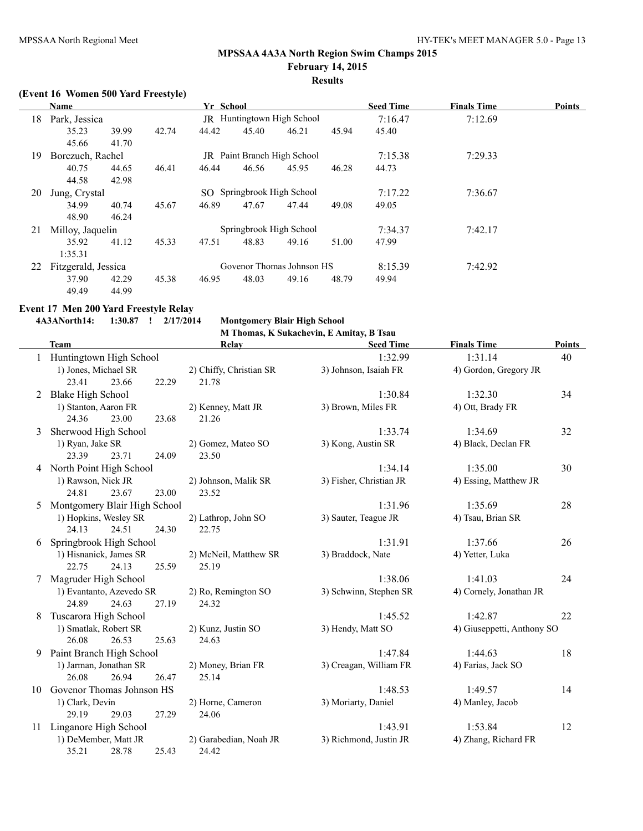# **(Event 16 Women 500 Yard Freestyle)**

|    | Name                                        |                                                    |       | Yr School                 |       |                             |         | <b>Seed Time</b> | <b>Finals Time</b> | <b>Points</b> |
|----|---------------------------------------------|----------------------------------------------------|-------|---------------------------|-------|-----------------------------|---------|------------------|--------------------|---------------|
| 18 |                                             | <b>JR</b> Huntingtown High School<br>Park, Jessica |       |                           |       |                             |         | 7:16.47          | 7:12.69            |               |
|    | 35.23                                       | 39.99                                              | 42.74 | 44.42                     | 45.40 | 46.21                       | 45.94   | 45.40            |                    |               |
|    | 45.66                                       | 41.70                                              |       |                           |       |                             |         |                  |                    |               |
| 19 | Borczuch, Rachel                            |                                                    |       |                           |       | JR Paint Branch High School |         | 7:15.38          | 7:29.33            |               |
|    | 40.75                                       | 44.65                                              | 46.41 | 46.44                     | 46.56 | 45.95                       | 46.28   | 44.73            |                    |               |
|    | 44.58                                       | 42.98                                              |       |                           |       |                             |         |                  |                    |               |
| 20 | SO Springbrook High School<br>Jung, Crystal |                                                    |       |                           |       | 7:17.22                     | 7:36.67 |                  |                    |               |
|    | 34.99                                       | 40.74                                              | 45.67 | 46.89                     | 47.67 | 47.44                       | 49.08   | 49.05            |                    |               |
|    | 48.90                                       | 46.24                                              |       |                           |       |                             |         |                  |                    |               |
| 21 |                                             | Milloy, Jaquelin                                   |       | Springbrook High School   |       |                             |         | 7:34.37          | 7:42.17            |               |
|    | 35.92                                       | 41.12                                              | 45.33 | 47.51                     | 48.83 | 49.16                       | 51.00   | 47.99            |                    |               |
|    | 1:35.31                                     |                                                    |       |                           |       |                             |         |                  |                    |               |
| 22 | Fitzgerald, Jessica                         |                                                    |       | Govenor Thomas Johnson HS |       |                             | 8:15.39 | 7:42.92          |                    |               |
|    | 37.90                                       | 42.29                                              | 45.38 | 46.95                     | 48.03 | 49.16                       | 48.79   | 49.94            |                    |               |
|    | 49.49                                       | 44.99                                              |       |                           |       |                             |         |                  |                    |               |

#### **Event 17 Men 200 Yard Freestyle Relay**

**4A3ANorth14: 1:30.87 ! 2/17/2014 Montgomery Blair High School**

**M Thomas, K Sukachevin, E Amitay, B Tsau**

|    | м і пошаѕ, к зикаспеўні, в Аннаў, в ізаи |                         |                         |                            |               |  |  |  |  |  |  |
|----|------------------------------------------|-------------------------|-------------------------|----------------------------|---------------|--|--|--|--|--|--|
|    | Team                                     | Relay                   | <b>Seed Time</b>        | <b>Finals Time</b>         | <b>Points</b> |  |  |  |  |  |  |
|    | 1 Huntingtown High School                |                         | 1:32.99                 | 1:31.14                    | 40            |  |  |  |  |  |  |
|    | 1) Jones, Michael SR                     | 2) Chiffy, Christian SR | 3) Johnson, Isaiah FR   | 4) Gordon, Gregory JR      |               |  |  |  |  |  |  |
|    | 23.41<br>22.29<br>23.66                  | 21.78                   |                         |                            |               |  |  |  |  |  |  |
| 2  | <b>Blake High School</b>                 |                         | 1:30.84                 | 1:32.30                    | 34            |  |  |  |  |  |  |
|    | 1) Stanton, Aaron FR                     | 2) Kenney, Matt JR      | 3) Brown, Miles FR      | 4) Ott, Brady FR           |               |  |  |  |  |  |  |
|    | 24.36<br>23.00<br>23.68                  | 21.26                   |                         |                            |               |  |  |  |  |  |  |
| 3  | Sherwood High School                     |                         | 1:33.74                 | 1:34.69                    | 32            |  |  |  |  |  |  |
|    | 1) Ryan, Jake SR                         | 2) Gomez, Mateo SO      | 3) Kong, Austin SR      | 4) Black, Declan FR        |               |  |  |  |  |  |  |
|    | 23.39<br>23.71<br>24.09                  | 23.50                   |                         |                            |               |  |  |  |  |  |  |
|    | 4 North Point High School                |                         | 1:34.14                 | 1:35.00                    | 30            |  |  |  |  |  |  |
|    | 1) Rawson, Nick JR                       | 2) Johnson, Malik SR    | 3) Fisher, Christian JR | 4) Essing, Matthew JR      |               |  |  |  |  |  |  |
|    | 24.81<br>23.67<br>23.00                  | 23.52                   |                         |                            |               |  |  |  |  |  |  |
| 5. | Montgomery Blair High School             |                         | 1:31.96                 | 1:35.69                    | 28            |  |  |  |  |  |  |
|    | 1) Hopkins, Wesley SR                    | 2) Lathrop, John SO     | 3) Sauter, Teague JR    | 4) Tsau, Brian SR          |               |  |  |  |  |  |  |
|    | 24.13<br>24.51<br>24.30                  | 22.75                   |                         |                            |               |  |  |  |  |  |  |
| 6  | Springbrook High School                  |                         | 1:31.91                 | 1:37.66                    | 26            |  |  |  |  |  |  |
|    | 1) Hisnanick, James SR                   | 2) McNeil, Matthew SR   | 3) Braddock, Nate       | 4) Yetter, Luka            |               |  |  |  |  |  |  |
|    | 22.75<br>24.13<br>25.59                  | 25.19                   |                         |                            |               |  |  |  |  |  |  |
| 7  | Magruder High School                     |                         | 1:38.06                 | 1:41.03                    | 24            |  |  |  |  |  |  |
|    | 1) Evantanto, Azevedo SR                 | 2) Ro, Remington SO     | 3) Schwinn, Stephen SR  | 4) Cornely, Jonathan JR    |               |  |  |  |  |  |  |
|    | 24.89<br>24.63<br>27.19                  | 24.32                   |                         |                            |               |  |  |  |  |  |  |
| 8  | Tuscarora High School                    |                         | 1:45.52                 | 1:42.87                    | 22            |  |  |  |  |  |  |
|    | 1) Smatlak, Robert SR                    | 2) Kunz, Justin SO      | 3) Hendy, Matt SO       | 4) Giuseppetti, Anthony SO |               |  |  |  |  |  |  |
|    | 26.53<br>26.08<br>25.63                  | 24.63                   |                         |                            |               |  |  |  |  |  |  |
| 9  | Paint Branch High School                 |                         | 1:47.84                 | 1:44.63                    | 18            |  |  |  |  |  |  |
|    | 1) Jarman, Jonathan SR                   | 2) Money, Brian FR      | 3) Creagan, William FR  | 4) Farias, Jack SO         |               |  |  |  |  |  |  |
|    | 26.08<br>26.94<br>26.47                  | 25.14                   |                         |                            |               |  |  |  |  |  |  |
| 10 | Govenor Thomas Johnson HS                |                         | 1:48.53                 | 1:49.57                    | 14            |  |  |  |  |  |  |
|    | 1) Clark, Devin                          | 2) Horne, Cameron       | 3) Moriarty, Daniel     | 4) Manley, Jacob           |               |  |  |  |  |  |  |
|    | 29.19<br>27.29<br>29.03                  | 24.06                   |                         |                            |               |  |  |  |  |  |  |
| 11 | Linganore High School                    |                         | 1:43.91                 | 1:53.84                    | 12            |  |  |  |  |  |  |
|    | 1) DeMember, Matt JR                     | 2) Garabedian, Noah JR  | 3) Richmond, Justin JR  | 4) Zhang, Richard FR       |               |  |  |  |  |  |  |
|    | 35.21<br>25.43<br>28.78                  | 24.42                   |                         |                            |               |  |  |  |  |  |  |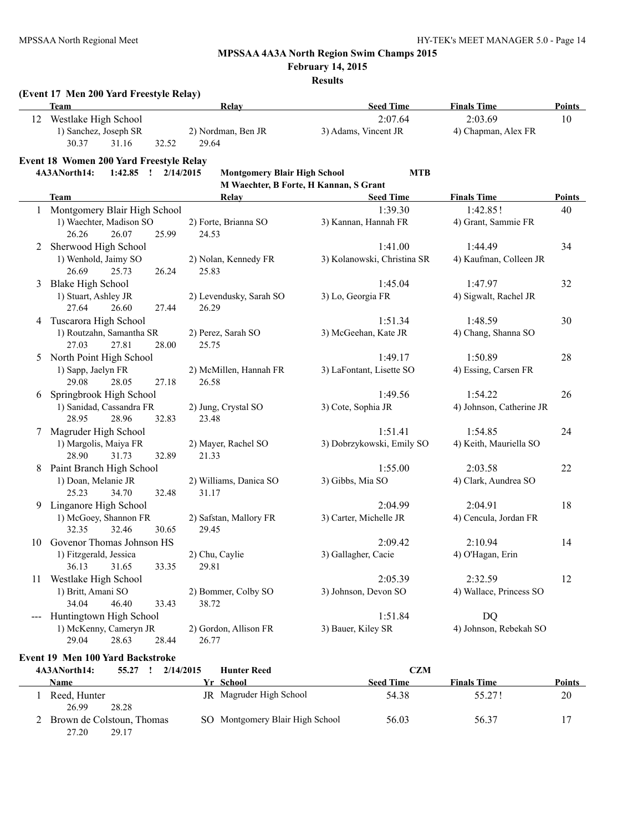$\overline{a}$ 

# **MPSSAA 4A3A North Region Swim Champs 2015**

**February 14, 2015**

**Results**

#### **(Event 17 Men 200 Yard Freestyle Relay)**

| <b>Team</b>           |       |       | Relav              | <b>Seed Time</b>     | <b>Finals Time</b>  | <b>Points</b> |
|-----------------------|-------|-------|--------------------|----------------------|---------------------|---------------|
| Westlake High School  |       |       |                    | 2:07.64              | 2:03.69             | 10            |
| 1) Sanchez, Joseph SR |       |       | 2) Nordman, Ben JR | 3) Adams, Vincent JR | 4) Chapman, Alex FR |               |
| 30.37                 | 31.16 | 32.52 | 29.64              |                      |                     |               |

#### **Event 18 Women 200 Yard Freestyle Relay**

#### **4A3ANorth14: 1:42.85 ! 2/14/2015 Montgomery Blair High School MTB M Waechter, B Forte, H Kannan, S Grant**

|                | <b>Team</b>                    | Relay                   | <b>Seed Time</b>            | <b>Finals Time</b>       | <b>Points</b> |  |  |  |
|----------------|--------------------------------|-------------------------|-----------------------------|--------------------------|---------------|--|--|--|
|                | 1 Montgomery Blair High School |                         | 1:39.30                     | 1:42.85!                 | 40            |  |  |  |
|                | 1) Waechter, Madison SO        | 2) Forte, Brianna SO    | 3) Kannan, Hannah FR        | 4) Grant, Sammie FR      |               |  |  |  |
|                | 26.07<br>25.99<br>26.26        | 24.53                   |                             |                          |               |  |  |  |
| $\overline{2}$ | Sherwood High School           |                         | 1:41.00                     | 1:44.49                  | 34            |  |  |  |
|                | 1) Wenhold, Jaimy SO           | 2) Nolan, Kennedy FR    | 3) Kolanowski, Christina SR | 4) Kaufman, Colleen JR   |               |  |  |  |
|                | 26.69<br>25.73<br>26.24        | 25.83                   |                             |                          |               |  |  |  |
| 3              | <b>Blake High School</b>       |                         | 1:45.04                     | 1:47.97                  | 32            |  |  |  |
|                | 1) Stuart, Ashley JR           | 2) Levendusky, Sarah SO | 3) Lo, Georgia FR           | 4) Sigwalt, Rachel JR    |               |  |  |  |
|                | 27.64<br>26.60<br>27.44        | 26.29                   |                             |                          |               |  |  |  |
| 4              | Tuscarora High School          |                         | 1:51.34                     | 1:48.59                  | 30            |  |  |  |
|                | 1) Routzahn, Samantha SR       | 2) Perez, Sarah SO      | 3) McGeehan, Kate JR        | 4) Chang, Shanna SO      |               |  |  |  |
|                | 27.03<br>27.81<br>28.00        | 25.75                   |                             |                          |               |  |  |  |
| 5.             | North Point High School        |                         | 1:49.17                     | 1:50.89                  | 28            |  |  |  |
|                | 1) Sapp, Jaelyn FR             | 2) McMillen, Hannah FR  | 3) LaFontant, Lisette SO    | 4) Essing, Carsen FR     |               |  |  |  |
|                | 29.08<br>28.05<br>27.18        | 26.58                   |                             |                          |               |  |  |  |
| 6              | Springbrook High School        |                         | 1:49.56                     | 1:54.22                  | 26            |  |  |  |
|                | 1) Sanidad, Cassandra FR       | 2) Jung, Crystal SO     | 3) Cote, Sophia JR          | 4) Johnson, Catherine JR |               |  |  |  |
|                | 28.95<br>28.96<br>32.83        | 23.48                   |                             |                          |               |  |  |  |
| 7              | Magruder High School           |                         | 1:51.41                     | 1:54.85                  | 24            |  |  |  |
|                | 1) Margolis, Maiya FR          | 2) Mayer, Rachel SO     | 3) Dobrzykowski, Emily SO   | 4) Keith, Mauriella SO   |               |  |  |  |
|                | 28.90<br>31.73<br>32.89        | 21.33                   |                             |                          |               |  |  |  |
| 8              | Paint Branch High School       |                         | 1:55.00                     | 2:03.58                  | 22            |  |  |  |
|                | 1) Doan, Melanie JR            | 2) Williams, Danica SO  | 3) Gibbs, Mia SO            | 4) Clark, Aundrea SO     |               |  |  |  |
|                | 25.23<br>34.70<br>32.48        | 31.17                   |                             |                          |               |  |  |  |
| 9              | Linganore High School          |                         | 2:04.99                     | 2:04.91                  | 18            |  |  |  |
|                | 1) McGoey, Shannon FR          | 2) Safstan, Mallory FR  | 3) Carter, Michelle JR      | 4) Cencula, Jordan FR    |               |  |  |  |
|                | 32.35<br>32.46<br>30.65        | 29.45                   |                             |                          |               |  |  |  |
| 10             | Govenor Thomas Johnson HS      |                         | 2:09.42                     | 2:10.94                  | 14            |  |  |  |
|                | 1) Fitzgerald, Jessica         | 2) Chu, Caylie          | 3) Gallagher, Cacie         | 4) O'Hagan, Erin         |               |  |  |  |
|                | 36.13<br>31.65<br>33.35        | 29.81                   |                             |                          |               |  |  |  |
| 11             | Westlake High School           |                         | 2:05.39                     | 2:32.59                  | 12            |  |  |  |
|                | 1) Britt, Amani SO             | 2) Bommer, Colby SO     | 3) Johnson, Devon SO        | 4) Wallace, Princess SO  |               |  |  |  |
|                | 34.04<br>46.40<br>33.43        | 38.72                   |                             |                          |               |  |  |  |
|                | Huntingtown High School        |                         | 1:51.84                     | <b>DQ</b>                |               |  |  |  |
|                | 1) McKenny, Cameryn JR         | 2) Gordon, Allison FR   | 3) Bauer, Kiley SR          | 4) Johnson, Rebekah SO   |               |  |  |  |
|                | 29.04<br>28.44<br>28.63        | 26.77                   |                             |                          |               |  |  |  |

#### **Event 19 Men 100 Yard Backstroke**

| 4A3ANorth14:                       | 55.27<br>2/14/2015 | <b>Hunter Reed</b>              | <b>CZM</b>       |                    |               |
|------------------------------------|--------------------|---------------------------------|------------------|--------------------|---------------|
| <b>Name</b>                        |                    | Yr School                       | <b>Seed Time</b> | <b>Finals Time</b> | <b>Points</b> |
| Reed, Hunter<br>26.99              | JR.<br>28.28       | Magruder High School            | 54.38            | 55.27!             | 20            |
| Brown de Colstoun, Thomas<br>27.20 | 29.17              | SO Montgomery Blair High School | 56.03            | 56.37              |               |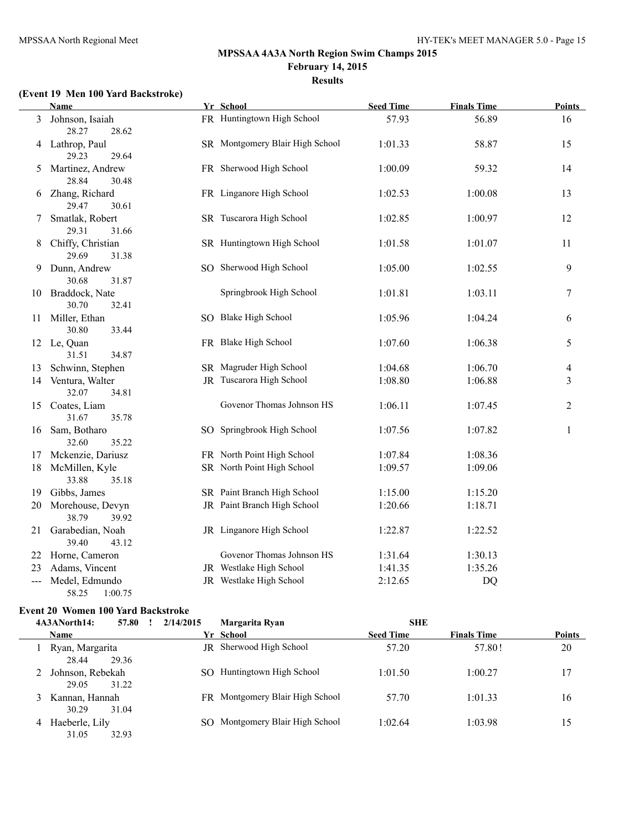# **(Event 19 Men 100 Yard Backstroke)**

|    | <b>Name</b>                          | Yr School                       | <b>Seed Time</b> | <b>Finals Time</b> | <b>Points</b> |
|----|--------------------------------------|---------------------------------|------------------|--------------------|---------------|
| 3  | Johnson, Isaiah<br>28.27<br>28.62    | FR Huntingtown High School      | 57.93            | 56.89              | 16            |
|    | 4 Lathrop, Paul<br>29.23<br>29.64    | SR Montgomery Blair High School | 1:01.33          | 58.87              | 15            |
| 5  | Martinez, Andrew<br>28.84<br>30.48   | FR Sherwood High School         | 1:00.09          | 59.32              | 14            |
| 6  | Zhang, Richard<br>29.47<br>30.61     | FR Linganore High School        | 1:02.53          | 1:00.08            | 13            |
| 7  | Smatlak, Robert<br>29.31<br>31.66    | SR Tuscarora High School        | 1:02.85          | 1:00.97            | 12            |
| 8  | Chiffy, Christian<br>29.69<br>31.38  | SR Huntingtown High School      | 1:01.58          | 1:01.07            | 11            |
| 9  | Dunn, Andrew<br>30.68<br>31.87       | SO Sherwood High School         | 1:05.00          | 1:02.55            | 9             |
| 10 | Braddock, Nate<br>30.70<br>32.41     | Springbrook High School         | 1:01.81          | 1:03.11            | 7             |
| 11 | Miller, Ethan<br>30.80<br>33.44      | SO Blake High School            | 1:05.96          | 1:04.24            | 6             |
|    | 12 Le, Quan<br>31.51<br>34.87        | FR Blake High School            | 1:07.60          | 1:06.38            | 5             |
| 13 | Schwinn, Stephen                     | SR Magruder High School         | 1:04.68          | 1:06.70            | 4             |
|    | 14 Ventura, Walter<br>32.07<br>34.81 | JR Tuscarora High School        | 1:08.80          | 1:06.88            | 3             |
|    | 15 Coates, Liam<br>31.67<br>35.78    | Govenor Thomas Johnson HS       | 1:06.11          | 1:07.45            | 2             |
| 16 | Sam, Botharo<br>32.60<br>35.22       | SO Springbrook High School      | 1:07.56          | 1:07.82            | $\mathbf{1}$  |
| 17 | Mckenzie, Dariusz                    | FR North Point High School      | 1:07.84          | 1:08.36            |               |
| 18 | McMillen, Kyle<br>33.88<br>35.18     | SR North Point High School      | 1:09.57          | 1:09.06            |               |
| 19 | Gibbs, James                         | SR Paint Branch High School     | 1:15.00          | 1:15.20            |               |
| 20 | Morehouse, Devyn<br>38.79<br>39.92   | JR Paint Branch High School     | 1:20.66          | 1:18.71            |               |
| 21 | Garabedian, Noah<br>39.40<br>43.12   | JR Linganore High School        | 1:22.87          | 1:22.52            |               |
| 22 | Horne, Cameron                       | Govenor Thomas Johnson HS       | 1:31.64          | 1:30.13            |               |
| 23 | Adams, Vincent                       | JR Westlake High School         | 1:41.35          | 1:35.26            |               |
|    | Medel, Edmundo<br>58.25<br>1:00.75   | JR Westlake High School         | 2:12.65          | DQ                 |               |

# **Event 20 Women 100 Yard Backstroke**

|   | 4A3ANorth14:                       | 57.80 | 2/14/2015 | Margarita Ryan                  | <b>SHE</b>       |                    |               |
|---|------------------------------------|-------|-----------|---------------------------------|------------------|--------------------|---------------|
|   | <b>Name</b>                        |       |           | Yr School                       | <b>Seed Time</b> | <b>Finals Time</b> | <b>Points</b> |
|   | Ryan, Margarita<br>28.44<br>29.36  |       |           | <b>JR</b> Sherwood High School  | 57.20            | 57.80!             | 20            |
|   | Johnson, Rebekah<br>31.22<br>29.05 |       | SO.       | Huntingtown High School         | 1:01.50          | 1:00.27            | 17            |
| 3 | Kannan, Hannah<br>31.04<br>30.29   |       |           | FR Montgomery Blair High School | 57.70            | 1:01.33            | 16            |
| 4 | Haeberle, Lily<br>31.05<br>32.93   |       |           | Montgomery Blair High School    | 1:02.64          | 1:03.98            | 15            |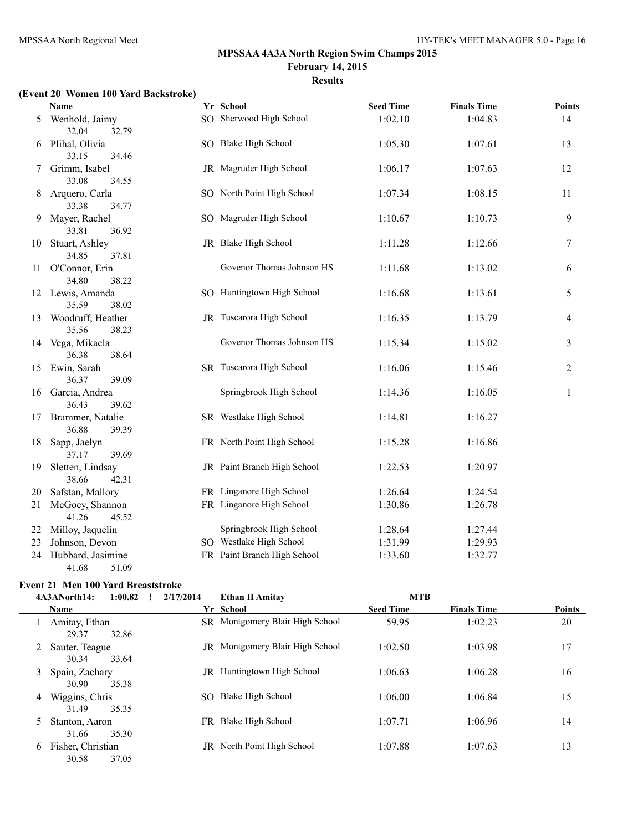# **(Event 20 Women 100 Yard Backstroke)**

|    | <b>Name</b>                            | Yr School                   | <b>Seed Time</b> | <b>Finals Time</b> | <b>Points</b> |
|----|----------------------------------------|-----------------------------|------------------|--------------------|---------------|
| 5  | Wenhold, Jaimy<br>32.04<br>32.79       | SO Sherwood High School     | 1:02.10          | 1:04.83            | 14            |
| 6  | Plihal, Olivia<br>33.15<br>34.46       | SO Blake High School        | 1:05.30          | 1:07.61            | 13            |
| 7  | Grimm, Isabel<br>33.08<br>34.55        | JR Magruder High School     | 1:06.17          | 1:07.63            | 12            |
| 8  | Arquero, Carla<br>33.38<br>34.77       | SO North Point High School  | 1:07.34          | 1:08.15            | 11            |
| 9  | Mayer, Rachel<br>33.81<br>36.92        | SO Magruder High School     | 1:10.67          | 1:10.73            | 9             |
| 10 | Stuart, Ashley<br>34.85<br>37.81       | JR Blake High School        | 1:11.28          | 1:12.66            | 7             |
| 11 | O'Connor, Erin<br>34.80<br>38.22       | Govenor Thomas Johnson HS   | 1:11.68          | 1:13.02            | 6             |
|    | 12 Lewis, Amanda<br>35.59<br>38.02     | SO Huntingtown High School  | 1:16.68          | 1:13.61            | 5             |
|    | 13 Woodruff, Heather<br>35.56<br>38.23 | JR Tuscarora High School    | 1:16.35          | 1:13.79            | 4             |
|    | 14 Vega, Mikaela<br>36.38<br>38.64     | Govenor Thomas Johnson HS   | 1:15.34          | 1:15.02            | 3             |
|    | 15 Ewin, Sarah<br>36.37<br>39.09       | SR Tuscarora High School    | 1:16.06          | 1:15.46            | 2             |
| 16 | Garcia, Andrea<br>36.43<br>39.62       | Springbrook High School     | 1:14.36          | 1:16.05            | $\mathbf{1}$  |
| 17 | Brammer, Natalie<br>36.88<br>39.39     | SR Westlake High School     | 1:14.81          | 1:16.27            |               |
| 18 | Sapp, Jaelyn<br>37.17<br>39.69         | FR North Point High School  | 1:15.28          | 1:16.86            |               |
| 19 | Sletten, Lindsay<br>38.66<br>42.31     | JR Paint Branch High School | 1:22.53          | 1:20.97            |               |
| 20 | Safstan, Mallory                       | FR Linganore High School    | 1:26.64          | 1:24.54            |               |
| 21 | McGoey, Shannon<br>41.26<br>45.52      | FR Linganore High School    | 1:30.86          | 1:26.78            |               |
| 22 | Milloy, Jaquelin                       | Springbrook High School     | 1:28.64          | 1:27.44            |               |
| 23 | Johnson, Devon                         | SO Westlake High School     | 1:31.99          | 1:29.93            |               |
| 24 | Hubbard, Jasimine<br>41.68<br>51.09    | FR Paint Branch High School | 1:33.60          | 1:32.77            |               |

# **Event 21 Men 100 Yard Breaststroke**

|    | 4A3ANorth14:<br>1:00.82    |       | 2/17/2014 | <b>Ethan H Amitav</b>             | <b>MTB</b>       |                    |               |
|----|----------------------------|-------|-----------|-----------------------------------|------------------|--------------------|---------------|
|    | <b>Name</b>                |       |           | Yr School                         | <b>Seed Time</b> | <b>Finals Time</b> | <b>Points</b> |
|    | Amitay, Ethan<br>29.37     | 32.86 |           | SR Montgomery Blair High School   | 59.95            | 1:02.23            | 20            |
|    | Sauter, Teague<br>30.34    | 33.64 |           | JR Montgomery Blair High School   | 1:02.50          | 1:03.98            | 17            |
| 3  | Spain, Zachary<br>30.90    | 35.38 |           | <b>IR</b> Huntingtown High School | 1:06.63          | 1:06.28            | 16            |
| 4  | Wiggins, Chris<br>31.49    | 35.35 | SO.       | Blake High School                 | 1:06.00          | 1:06.84            | 15            |
| 5. | Stanton, Aaron<br>31.66    | 35.30 |           | FR Blake High School              | 1:07.71          | 1:06.96            | 14            |
| 6  | Fisher, Christian<br>30.58 | 37.05 |           | JR North Point High School        | 1:07.88          | 1:07.63            | 13            |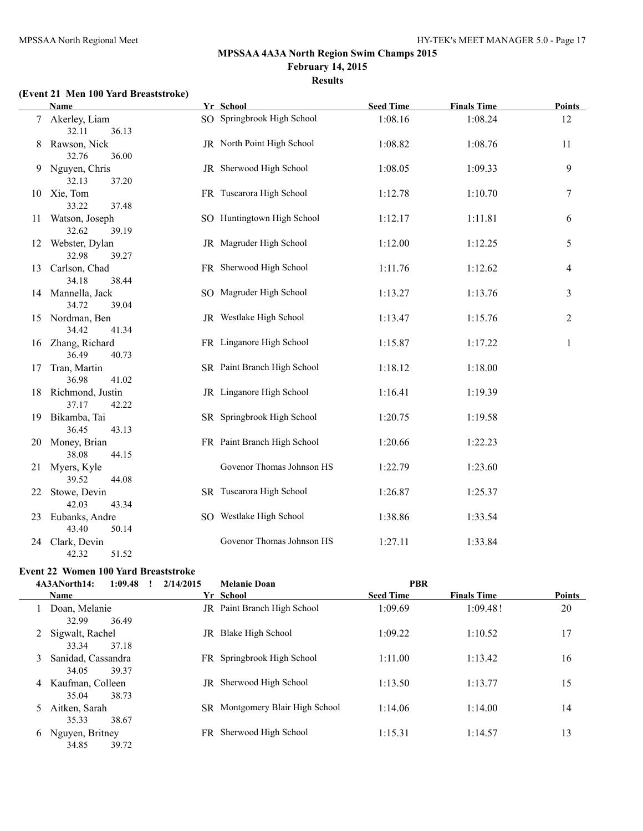# **(Event 21 Men 100 Yard Breaststroke)**

|    | <b>Name</b>                         | Yr School                   | <b>Seed Time</b> | <b>Finals Time</b> | <b>Points</b>  |
|----|-------------------------------------|-----------------------------|------------------|--------------------|----------------|
|    | 7 Akerley, Liam<br>36.13<br>32.11   | SO Springbrook High School  | 1:08.16          | 1:08.24            | 12             |
| 8  | Rawson, Nick<br>32.76<br>36.00      | JR North Point High School  | 1:08.82          | 1:08.76            | 11             |
|    | 9 Nguyen, Chris<br>32.13<br>37.20   | JR Sherwood High School     | 1:08.05          | 1:09.33            | 9              |
|    | 10 Xie, Tom<br>33.22<br>37.48       | FR Tuscarora High School    | 1:12.78          | 1:10.70            | 7              |
| 11 | Watson, Joseph<br>32.62<br>39.19    | SO Huntingtown High School  | 1:12.17          | 1:11.81            | 6              |
| 12 | Webster, Dylan<br>32.98<br>39.27    | JR Magruder High School     | 1:12.00          | 1:12.25            | 5              |
| 13 | Carlson, Chad<br>34.18<br>38.44     | FR Sherwood High School     | 1:11.76          | 1:12.62            | 4              |
|    | 14 Mannella, Jack<br>34.72<br>39.04 | SO Magruder High School     | 1:13.27          | 1:13.76            | 3              |
|    | 15 Nordman, Ben<br>34.42<br>41.34   | JR Westlake High School     | 1:13.47          | 1:15.76            | $\mathfrak{2}$ |
|    | 16 Zhang, Richard<br>36.49<br>40.73 | FR Linganore High School    | 1:15.87          | 1:17.22            | 1              |
| 17 | Tran, Martin<br>36.98<br>41.02      | SR Paint Branch High School | 1:18.12          | 1:18.00            |                |
| 18 | Richmond, Justin<br>37.17<br>42.22  | JR Linganore High School    | 1:16.41          | 1:19.39            |                |
|    | 19 Bikamba, Tai<br>36.45<br>43.13   | SR Springbrook High School  | 1:20.75          | 1:19.58            |                |
| 20 | Money, Brian<br>38.08<br>44.15      | FR Paint Branch High School | 1:20.66          | 1:22.23            |                |
| 21 | Myers, Kyle<br>39.52<br>44.08       | Govenor Thomas Johnson HS   | 1:22.79          | 1:23.60            |                |
| 22 | Stowe, Devin<br>42.03<br>43.34      | SR Tuscarora High School    | 1:26.87          | 1:25.37            |                |
| 23 | Eubanks, Andre<br>43.40<br>50.14    | SO Westlake High School     | 1:38.86          | 1:33.54            |                |
| 24 | Clark, Devin<br>42.32<br>51.52      | Govenor Thomas Johnson HS   | 1:27.11          | 1:33.84            |                |

# **Event 22 Women 100 Yard Breaststroke**

|   | 4A3ANorth14:<br>1:09.48              | 2/14/2015 | <b>Melanie Doan</b>                    | <b>PBR</b>       |                    |               |
|---|--------------------------------------|-----------|----------------------------------------|------------------|--------------------|---------------|
|   | Name                                 |           | Yr School                              | <b>Seed Time</b> | <b>Finals Time</b> | <b>Points</b> |
|   | Doan, Melanie<br>32.99<br>36.49      |           | <b>IR</b> Paint Branch High School     | 1:09.69          | 1:09.481           | 20            |
|   | Sigwalt, Rachel<br>37.18<br>33.34    | JR.       | Blake High School                      | 1:09.22          | 1:10.52            | 17            |
| 3 | Sanidad, Cassandra<br>39.37<br>34.05 |           | FR Springbrook High School             | 1:11.00          | 1:13.42            | 16            |
| 4 | Kaufman, Colleen<br>35.04<br>38.73   | JR        | Sherwood High School                   | 1:13.50          | 1:13.77            | 15            |
| 5 | Aitken, Sarah<br>35.33<br>38.67      |           | <b>SR</b> Montgomery Blair High School | 1:14.06          | 1:14.00            | 14            |
| 6 | Nguyen, Britney<br>34.85<br>39.72    | FR.       | Sherwood High School                   | 1:15.31          | 1:14.57            | 13            |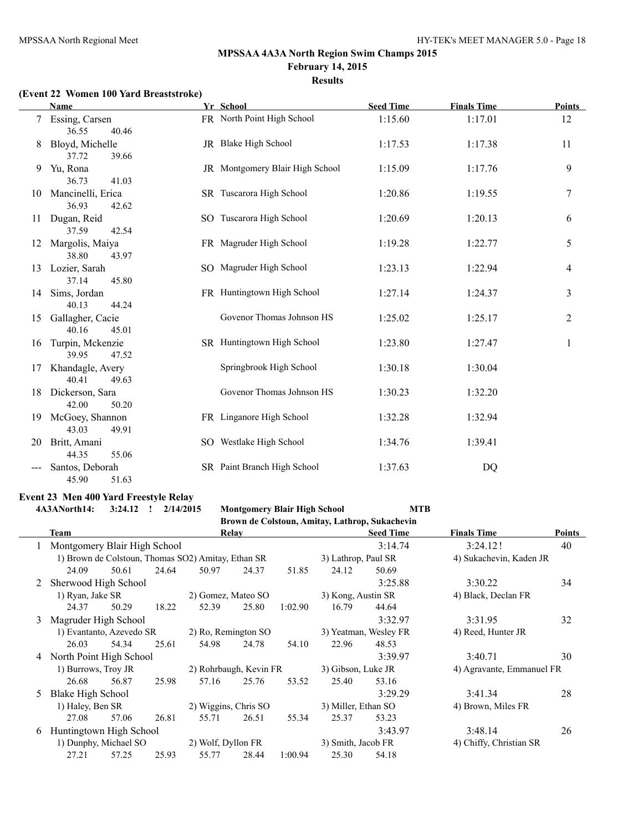#### **(Event 22 Women 100 Yard Breaststroke)**

|    | Name                                | Yr School                       | <b>Seed Time</b> | <b>Finals Time</b> | <b>Points</b>    |
|----|-------------------------------------|---------------------------------|------------------|--------------------|------------------|
|    | Essing, Carsen<br>36.55<br>40.46    | FR North Point High School      | 1:15.60          | 1:17.01            | 12               |
| 8  | Bloyd, Michelle<br>37.72<br>39.66   | JR Blake High School            | 1:17.53          | 1:17.38            | 11               |
| 9  | Yu, Rona<br>41.03<br>36.73          | JR Montgomery Blair High School | 1:15.09          | 1:17.76            | 9                |
| 10 | Mancinelli, Erica<br>36.93<br>42.62 | SR Tuscarora High School        | 1:20.86          | 1:19.55            | $\boldsymbol{7}$ |
| 11 | Dugan, Reid<br>37.59<br>42.54       | SO Tuscarora High School        | 1:20.69          | 1:20.13            | 6                |
| 12 | Margolis, Maiya<br>38.80<br>43.97   | FR Magruder High School         | 1:19.28          | 1:22.77            | 5                |
| 13 | Lozier, Sarah<br>37.14<br>45.80     | SO Magruder High School         | 1:23.13          | 1:22.94            | 4                |
| 14 | Sims, Jordan<br>40.13<br>44.24      | FR Huntingtown High School      | 1:27.14          | 1:24.37            | 3                |
| 15 | Gallagher, Cacie<br>40.16<br>45.01  | Govenor Thomas Johnson HS       | 1:25.02          | 1:25.17            | 2                |
| 16 | Turpin, Mckenzie<br>39.95<br>47.52  | SR Huntingtown High School      | 1:23.80          | 1:27.47            | 1                |
| 17 | Khandagle, Avery<br>40.41<br>49.63  | Springbrook High School         | 1:30.18          | 1:30.04            |                  |
| 18 | Dickerson, Sara<br>42.00<br>50.20   | Govenor Thomas Johnson HS       | 1:30.23          | 1:32.20            |                  |
| 19 | McGoey, Shannon<br>43.03<br>49.91   | FR Linganore High School        | 1:32.28          | 1:32.94            |                  |
| 20 | Britt, Amani<br>44.35<br>55.06      | SO Westlake High School         | 1:34.76          | 1:39.41            |                  |
|    | Santos, Deborah<br>45.90<br>51.63   | SR Paint Branch High School     | 1:37.63          | DQ                 |                  |

#### **Event 23 Men 400 Yard Freestyle Relay 4A3ANorth14: 3:24.12 ! 2/14/2015 Montgomery Blair High School MTB**

|    |                              |       |       |                                                    |       |         |                                                 | Brown de Colstoun, Amitay, Lathrop, Sukachevin |                         |               |
|----|------------------------------|-------|-------|----------------------------------------------------|-------|---------|-------------------------------------------------|------------------------------------------------|-------------------------|---------------|
|    | <b>Team</b>                  |       |       |                                                    | Relay |         |                                                 | <b>Seed Time</b>                               | <b>Finals Time</b>      | <b>Points</b> |
|    | Montgomery Blair High School |       |       |                                                    |       |         |                                                 | 3:14.74                                        | 3:24.12!                | 40            |
|    |                              |       |       | 1) Brown de Colstoun, Thomas SO2) Amitay, Ethan SR |       |         | 3) Lathrop, Paul SR                             |                                                | 4) Sukachevin, Kaden JR |               |
|    | 24.09                        | 50.61 | 24.64 | 50.97                                              | 24.37 | 51.85   | 24.12                                           | 50.69                                          |                         |               |
|    | Sherwood High School         |       |       |                                                    |       |         |                                                 | 3:25.88                                        | 3:30.22                 | 34            |
|    | 1) Ryan, Jake SR             |       |       | 2) Gomez, Mateo SO                                 |       |         | 3) Kong, Austin SR                              |                                                | 4) Black, Declan FR     |               |
|    | 24.37                        | 50.29 | 18.22 | 52.39                                              | 25.80 | 1:02.90 | 16.79                                           | 44.64                                          |                         |               |
| 3  | Magruder High School         |       |       |                                                    |       |         |                                                 | 3:32.97                                        | 3:31.95                 | 32            |
|    | 1) Evantanto, Azevedo SR     |       |       | 2) Ro, Remington SO                                |       |         |                                                 | 3) Yeatman, Wesley FR                          | 4) Reed, Hunter JR      |               |
|    | 26.03                        | 54.34 | 25.61 | 54.98                                              | 24.78 | 54.10   | 22.96                                           | 48.53                                          |                         |               |
| 4  | North Point High School      |       |       |                                                    |       |         |                                                 | 3:39.97                                        | 3:40.71                 | 30            |
|    | 1) Burrows, Troy JR          |       |       | 2) Rohrbaugh, Kevin FR                             |       |         | 3) Gibson, Luke JR<br>4) Agravante, Emmanuel FR |                                                |                         |               |
|    | 26.68                        | 56.87 | 25.98 | 57.16                                              | 25.76 | 53.52   | 25.40                                           | 53.16                                          |                         |               |
| 5. | Blake High School            |       |       |                                                    |       |         |                                                 | 3:29.29                                        | 3:41.34                 | 28            |
|    | 1) Haley, Ben SR             |       |       | 2) Wiggins, Chris SO                               |       |         | 3) Miller, Ethan SO                             |                                                | 4) Brown, Miles FR      |               |
|    | 27.08                        | 57.06 | 26.81 | 55.71                                              | 26.51 | 55.34   | 25.37                                           | 53.23                                          |                         |               |
| 6  | Huntingtown High School      |       |       |                                                    |       |         |                                                 | 3:43.97                                        | 3:48.14                 | 26            |
|    | 1) Dunphy, Michael SO        |       |       | 2) Wolf, Dyllon FR                                 |       |         | 3) Smith, Jacob FR                              |                                                | 4) Chiffy, Christian SR |               |
|    | 27.21                        | 57.25 | 25.93 | 55.77                                              | 28.44 | 1:00.94 | 25.30                                           | 54.18                                          |                         |               |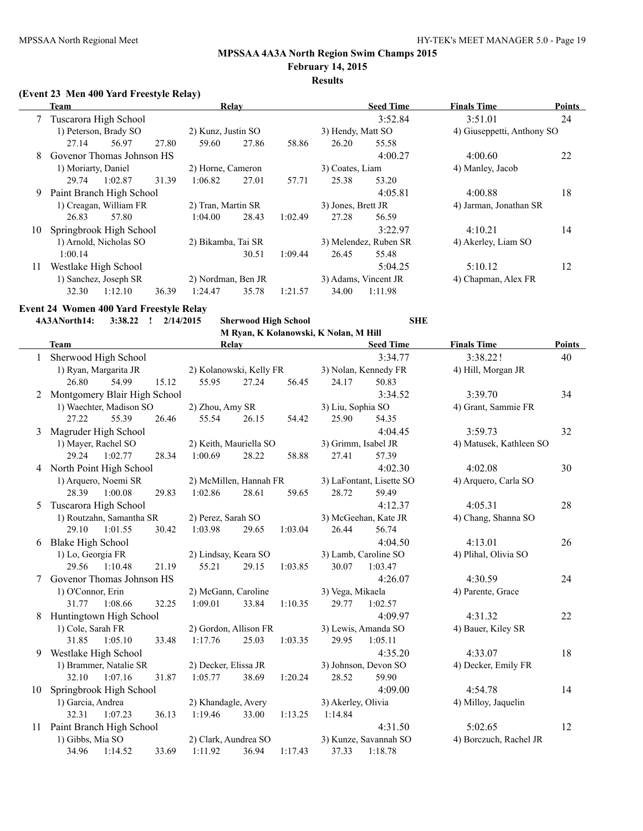# **MPSSAA 4A3A North Region Swim Champs 2015**

**February 14, 2015 Results**

#### **(Event 23 Men 400 Yard Freestyle Relay)**

|    | Team                        |         |       |                    | Relay |         |                    | <b>Seed Time</b>      | <b>Finals Time</b>         | <b>Points</b> |
|----|-----------------------------|---------|-------|--------------------|-------|---------|--------------------|-----------------------|----------------------------|---------------|
|    | Tuscarora High School       |         |       |                    |       |         |                    | 3:52.84               | 3:51.01                    | 24            |
|    | 1) Peterson, Brady SO       |         |       | 2) Kunz, Justin SO |       |         | 3) Hendy, Matt SO  |                       | 4) Giuseppetti, Anthony SO |               |
|    | 27.14                       | 56.97   | 27.80 | 59.60              | 27.86 | 58.86   | 26.20              | 55.58                 |                            |               |
|    | 8 Govenor Thomas Johnson HS |         |       |                    |       |         |                    | 4:00.27               | 4:00.60                    | 22            |
|    | 1) Moriarty, Daniel         |         |       | 2) Horne, Cameron  |       |         | 3) Coates, Liam    |                       | 4) Manley, Jacob           |               |
|    | 29.74                       | 1:02.87 | 31.39 | 1:06.82            | 27.01 | 57.71   | 25.38              | 53.20                 |                            |               |
| 9. | Paint Branch High School    |         |       |                    |       |         |                    | 4:05.81               | 4:00.88                    | 18            |
|    | 1) Creagan, William FR      |         |       | 2) Tran, Martin SR |       |         | 3) Jones, Brett JR |                       | 4) Jarman, Jonathan SR     |               |
|    | 26.83                       | 57.80   |       | 1:04.00            | 28.43 | 1:02.49 | 27.28              | 56.59                 |                            |               |
| 10 | Springbrook High School     |         |       |                    |       |         |                    | 3:22.97               | 4:10.21                    | 14            |
|    | 1) Arnold, Nicholas SO      |         |       | 2) Bikamba, Tai SR |       |         |                    | 3) Melendez, Ruben SR | 4) Akerley, Liam SO        |               |
|    | 1:00.14                     |         |       |                    | 30.51 | 1:09.44 | 26.45              | 55.48                 |                            |               |
| 11 | Westlake High School        |         |       |                    |       |         |                    | 5:04.25               | 5:10.12                    | 12            |
|    | 1) Sanchez, Joseph SR       |         |       | 2) Nordman, Ben JR |       |         |                    | 3) Adams, Vincent JR  | 4) Chapman, Alex FR        |               |
|    | 32.30                       | 1:12.10 | 36.39 | 1:24.47            | 35.78 | 1:21.57 | 34.00              | 1:11.98               |                            |               |

# **Event 24 Women 400 Yard Freestyle Relay**

**4A3ANorth14: 3:38.22 ! 2/14/2015 Sherwood High School SHE**

**M Ryan, K Kolanowski, K Nolan, M Hill**

|    |                           |                              |                         |       |         | IVE KYAII, IN INOIAHOWSKI, IN INOIAH, IVE FILLE |                          |                         |               |
|----|---------------------------|------------------------------|-------------------------|-------|---------|-------------------------------------------------|--------------------------|-------------------------|---------------|
|    | <b>Team</b>               |                              |                         | Relay |         |                                                 | <b>Seed Time</b>         | <b>Finals Time</b>      | <b>Points</b> |
|    | Sherwood High School      |                              |                         |       |         |                                                 | 3:34.77                  | 3:38.22!                | 40            |
|    | 1) Ryan, Margarita JR     |                              | 2) Kolanowski, Kelly FR |       |         |                                                 | 3) Nolan, Kennedy FR     | 4) Hill, Morgan JR      |               |
|    | 26.80                     | 54.99<br>15.12               | 55.95                   | 27.24 | 56.45   | 24.17                                           | 50.83                    |                         |               |
| 2  |                           | Montgomery Blair High School |                         |       |         |                                                 | 3:34.52                  | 3:39.70                 | 34            |
|    | 1) Waechter, Madison SO   |                              | 2) Zhou, Amy SR         |       |         | 3) Liu, Sophia SO                               |                          | 4) Grant, Sammie FR     |               |
|    | 27.22                     | 55.39<br>26.46               | 55.54                   | 26.15 | 54.42   | 25.90                                           | 54.35                    |                         |               |
| 3  | Magruder High School      |                              |                         |       |         |                                                 | 4:04.45                  | 3:59.73                 | 32            |
|    | 1) Mayer, Rachel SO       |                              | 2) Keith, Mauriella SO  |       |         | 3) Grimm, Isabel JR                             |                          | 4) Matusek, Kathleen SO |               |
|    | 29.24                     | 1:02.77<br>28.34             | 1:00.69                 | 28.22 | 58.88   | 27.41                                           | 57.39                    |                         |               |
|    | 4 North Point High School |                              |                         |       |         |                                                 | 4:02.30                  | 4:02.08                 | 30            |
|    | 1) Arquero, Noemi SR      |                              | 2) McMillen, Hannah FR  |       |         |                                                 | 3) LaFontant, Lisette SO | 4) Arquero, Carla SO    |               |
|    | 28.39                     | 29.83<br>1:00.08             | 1:02.86                 | 28.61 | 59.65   | 28.72                                           | 59.49                    |                         |               |
| 5  | Tuscarora High School     |                              |                         |       |         |                                                 | 4:12.37                  | 4:05.31                 | 28            |
|    | 1) Routzahn, Samantha SR  |                              | 2) Perez, Sarah SO      |       |         |                                                 | 3) McGeehan, Kate JR     | 4) Chang, Shanna SO     |               |
|    | 29.10 1:01.55             | 30.42                        | 1:03.98                 | 29.65 | 1:03.04 | 26.44                                           | 56.74                    |                         |               |
| 6  | <b>Blake High School</b>  |                              |                         |       |         |                                                 | 4:04.50                  | 4:13.01                 | 26            |
|    | 1) Lo, Georgia FR         |                              | 2) Lindsay, Keara SO    |       |         |                                                 | 3) Lamb, Caroline SO     | 4) Plihal, Olivia SO    |               |
|    | 29.56                     | 1:10.48<br>21.19             | 55.21                   | 29.15 | 1:03.85 | 30.07                                           | 1:03.47                  |                         |               |
| 7  | Govenor Thomas Johnson HS |                              |                         |       |         |                                                 | 4:26.07                  | 4:30.59                 | 24            |
|    | 1) O'Connor, Erin         |                              | 2) McGann, Caroline     |       |         | 3) Vega, Mikaela                                |                          | 4) Parente, Grace       |               |
|    | 31.77                     | 32.25<br>1:08.66             | 1:09.01                 | 33.84 | 1:10.35 | 29.77                                           | 1:02.57                  |                         |               |
| 8  | Huntingtown High School   |                              |                         |       |         |                                                 | 4:09.97                  | 4:31.32                 | 22            |
|    | 1) Cole, Sarah FR         |                              | 2) Gordon, Allison FR   |       |         |                                                 | 3) Lewis, Amanda SO      | 4) Bauer, Kiley SR      |               |
|    | 31.85                     | 1:05.10<br>33.48             | 1:17.76                 | 25.03 | 1:03.35 | 29.95                                           | 1:05.11                  |                         |               |
| 9  | Westlake High School      |                              |                         |       |         |                                                 | 4:35.20                  | 4:33.07                 | 18            |
|    | 1) Brammer, Natalie SR    |                              | 2) Decker, Elissa JR    |       |         |                                                 | 3) Johnson, Devon SO     | 4) Decker, Emily FR     |               |
|    | 32.10 1:07.16             | 31.87                        | 1:05.77                 | 38.69 | 1:20.24 | 28.52                                           | 59.90                    |                         |               |
| 10 | Springbrook High School   |                              |                         |       |         |                                                 | 4:09.00                  | 4:54.78                 | 14            |
|    | 1) Garcia, Andrea         |                              | 2) Khandagle, Avery     |       |         | 3) Akerley, Olivia                              |                          | 4) Milloy, Jaquelin     |               |
|    | 32.31                     | 1:07.23<br>36.13             | 1:19.46                 | 33.00 | 1:13.25 | 1:14.84                                         |                          |                         |               |
| 11 | Paint Branch High School  |                              |                         |       |         |                                                 | 4:31.50                  | 5:02.65                 | 12            |
|    | 1) Gibbs, Mia SO          |                              | 2) Clark, Aundrea SO    |       |         |                                                 | 3) Kunze, Savannah SO    | 4) Borczuch, Rachel JR  |               |
|    | 34.96                     | 33.69<br>1:14.52             | 1:11.92                 | 36.94 | 1:17.43 | 37.33                                           | 1:18.78                  |                         |               |